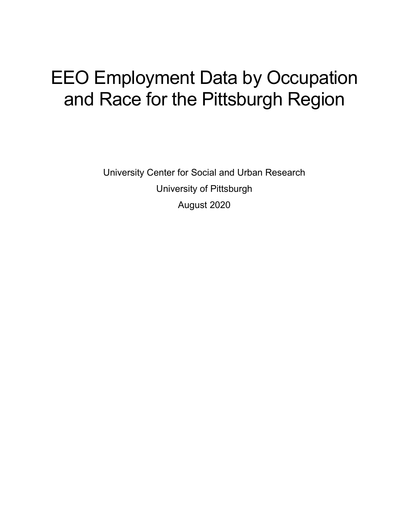# EEO Employment Data by Occupation and Race for the Pittsburgh Region

University Center for Social and Urban Research University of Pittsburgh August 2020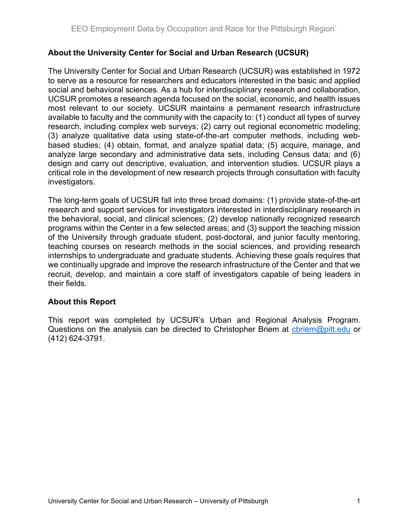#### About the University Center for Social and Urban Research (UCSUR)

The University Center for Social and Urban Research (UCSUR) was established in 1972 to serve as a resource for researchers and educators interested in the basic and applied social and behavioral sciences. As a hub for interdisciplinary research and collaboration, UCSUR promotes a research agenda focused on the social, economic, and health issues most relevant to our society. UCSUR maintains a permanent research infrastructure available to faculty and the community with the capacity to: (1) conduct all types of survey research, including complex web surveys; (2) carry out regional econometric modeling; (3) analyze qualitative data using state-of-the-art computer methods, including webbased studies; (4) obtain, format, and analyze spatial data; (5) acquire, manage, and analyze large secondary and administrative data sets, including Census data; and (6) design and carry out descriptive, evaluation, and intervention studies. UCSUR plays a critical role in the development of new research projects through consultation with faculty investigators.

The long-term goals of UCSUR fall into three broad domains: (1) provide state-of-the-art research and support services for investigators interested in interdisciplinary research in the behavioral, social, and clinical sciences; (2) develop nationally recognized research programs within the Center in a few selected areas; and (3) support the teaching mission of the University through graduate student, post-doctoral, and junior faculty mentoring, teaching courses on research methods in the social sciences, and providing research internships to undergraduate and graduate students. Achieving these goals requires that we continually upgrade and improve the research infrastructure of the Center and that we recruit, develop, and maintain a core staff of investigators capable of being leaders in their fields.

#### About this Report

This report was completed by UCSUR's Urban and Regional Analysis Program. Questions on the analysis can be directed to Christopher Briem at chriem@pitt.edu or (412) 624-3791.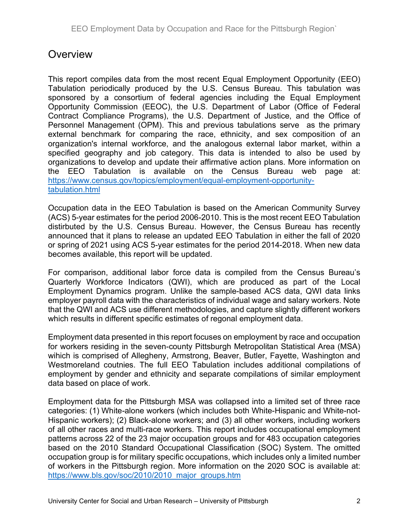## **Overview**

This report compiles data from the most recent Equal Employment Opportunity (EEO) Tabulation periodically produced by the U.S. Census Bureau. This tabulation was sponsored by a consortium of federal agencies including the Equal Employment Opportunity Commission (EEOC), the U.S. Department of Labor (Office of Federal Contract Compliance Programs), the U.S. Department of Justice, and the Office of Personnel Management (OPM). This and previous tabulations serve as the primary external benchmark for comparing the race, ethnicity, and sex composition of an organization's internal workforce, and the analogous external labor market, within a specified geography and job category. This data is intended to also be used by organizations to develop and update their affirmative action plans. More information on the EEO Tabulation is available on the Census Bureau web page at: https://www.census.gov/topics/employment/equal-employment-opportunitytabulation.html

Occupation data in the EEO Tabulation is based on the American Community Survey (ACS) 5-year estimates for the period 2006-2010. This is the most recent EEO Tabulation distirbuted by the U.S. Census Bureau. However, the Census Bureau has recently announced that it plans to release an updated EEO Tabulation in either the fall of 2020 or spring of 2021 using ACS 5-year estimates for the period 2014-2018. When new data becomes available, this report will be updated.

For comparison, additional labor force data is compiled from the Census Bureau's Quarterly Workforce Indicators (QWI), which are produced as part of the Local Employment Dynamics program. Unlike the sample-based ACS data, QWI data links employer payroll data with the characteristics of individual wage and salary workers. Note that the QWI and ACS use different methodologies, and capture slightly different workers which results in different specific estimates of regonal employment data.

Employment data presented in this report focuses on employment by race and occupation for workers residing in the seven-county Pittsburgh Metropolitan Statistical Area (MSA) wihich is comprised of Allegheny, Armstrong, Beaver, Butler, Fayette, Washington and Westmoreland coutnies. The full EEO Tabulation includes additional compilations of employment by gender and ethnicity and separate compilations of similar employment data based on place of work.

Employment data for the Pittsburgh MSA was collapsed into a limited set of three race categories: (1) White-alone workers (which includes both White-Hispanic and White-not-Hispanic workers); (2) Black-alone workers; and (3) all other workers, including workers of all other races and multi-race workers. This report includes occupational employment patterns across 22 of the 23 major occupation groups and for 483 occupation categories based on the 2010 Standard Occupational Classification (SOC) System. The omitted occupation group is for military specific occupations, which includes only a limited number of workers in the Pittsburgh region. More information on the 2020 SOC is available at: https://www.bls.gov/soc/2010/2010\_major\_groups.htm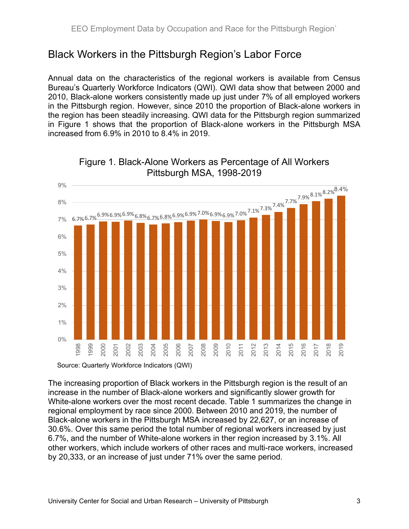## Black Workers in the Pittsburgh Region's Labor Force

Annual data on the characteristics of the regional workers is available from Census Bureau's Quarterly Workforce Indicators (QWI). QWI data show that between 2000 and 2010, Black-alone workers consistently made up just under 7% of all employed workers in the Pittsburgh region. However, since 2010 the proportion of Black-alone workers in the region has been steadily increasing. QWI data for the Pittsburgh region summarized in Figure 1 shows that the proportion of Black-alone workers in the Pittsburgh MSA increased from 6.9% in 2010 to 8.4% in 2019.



#### Figure 1. Black-Alone Workers as Percentage of All Workers Pittsburgh MSA, 1998-2019

Source: Quarterly Workforce Indicators (QWI)

The increasing proportion of Black workers in the Pittsburgh region is the result of an increase in the number of Black-alone workers and significantly slower growth for White-alone workers over the most recent decade. Table 1 summarizes the change in regional employment by race since 2000. Between 2010 and 2019, the number of Black-alone workers in the Pittsburgh MSA increased by 22,627, or an increase of 30.6%. Over this same period the total number of regional workers increased by just 6.7%, and the number of White-alone workers in ther region increased by 3.1%. All other workers, which include workers of other races and multi-race workers, increased by 20,333, or an increase of just under 71% over the same period.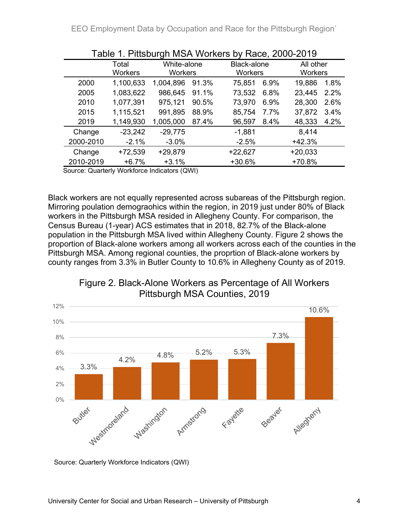EEO Employment Data by Occupation and Race for the Pittsburgh Region`

| Table T. PILISDUI'UN MSA WORKERS DY RACE, ZUUU-ZUT9                                                                                                                                                                                                                                                                                                                                                                                                     |                         |                               |       |                                                                       |      |                             |      |  |  |
|---------------------------------------------------------------------------------------------------------------------------------------------------------------------------------------------------------------------------------------------------------------------------------------------------------------------------------------------------------------------------------------------------------------------------------------------------------|-------------------------|-------------------------------|-------|-----------------------------------------------------------------------|------|-----------------------------|------|--|--|
|                                                                                                                                                                                                                                                                                                                                                                                                                                                         | Total<br><b>Workers</b> | White-alone<br><b>Workers</b> |       | Black-alone<br><b>Workers</b><br>75,851<br>73,532<br>73,970<br>85,754 |      | All other<br><b>Workers</b> |      |  |  |
| 2000                                                                                                                                                                                                                                                                                                                                                                                                                                                    | 1,100,633               | 1,004,896                     | 91.3% |                                                                       | 6.9% | 19,886                      | 1.8% |  |  |
| 2005                                                                                                                                                                                                                                                                                                                                                                                                                                                    | 1,083,622               | 986,645                       | 91.1% |                                                                       | 6.8% | 23,445                      | 2.2% |  |  |
| 2010                                                                                                                                                                                                                                                                                                                                                                                                                                                    | 1,077,391               | 975,121                       | 90.5% |                                                                       | 6.9% | 28,300                      | 2.6% |  |  |
| 2015                                                                                                                                                                                                                                                                                                                                                                                                                                                    | 1,115,521               | 991,895                       | 88.9% |                                                                       | 7.7% | 37,872                      | 3.4% |  |  |
| 2019                                                                                                                                                                                                                                                                                                                                                                                                                                                    | 1,149,930               | 1,005,000                     | 87.4% | 96,597                                                                | 8.4% | 48,333                      | 4.2% |  |  |
| Change                                                                                                                                                                                                                                                                                                                                                                                                                                                  | $-23,242$               | $-29,775$                     |       | $-1,881$                                                              |      | 8,414                       |      |  |  |
| 2000-2010                                                                                                                                                                                                                                                                                                                                                                                                                                               | $-2.1%$                 | $-3.0\%$                      |       | $-2.5%$                                                               |      | $+42.3%$                    |      |  |  |
| Change                                                                                                                                                                                                                                                                                                                                                                                                                                                  | $+72,539$               | $+29,879$                     |       | $+22,627$                                                             |      | $+20,033$                   |      |  |  |
| 2010-2019                                                                                                                                                                                                                                                                                                                                                                                                                                               | $+6.7%$                 | $+3.1%$                       |       | +30.6%                                                                |      | +70.8%                      |      |  |  |
| $\Omega_{\text{max}}$ $\Omega_{\text{max}}$ $\Omega_{\text{max}}$ $\Omega_{\text{max}}$ $\Omega_{\text{max}}$ $\Omega_{\text{max}}$ $\Omega_{\text{max}}$ $\Omega_{\text{max}}$ $\Omega_{\text{max}}$ $\Omega_{\text{max}}$ $\Omega_{\text{max}}$ $\Omega_{\text{max}}$ $\Omega_{\text{max}}$ $\Omega_{\text{max}}$ $\Omega_{\text{max}}$ $\Omega_{\text{max}}$ $\Omega_{\text{max}}$ $\Omega_{\text{max}}$ $\Omega_{\text{max}}$ $\Omega_{\text{max}}$ |                         |                               |       |                                                                       |      |                             |      |  |  |

Source: Quarterly Workforce Indicators (QWI)

Black workers are not equally represented across subareas of the Pittsburgh region. Mirroring poulation demograohics within the region, in 2019 just under 80% of Black workers in the Pittsburgh MSA resided in Allegheny County. For comparison, the Census Bureau (1-year) ACS estimates that in 2018, 82.7% of the Black-alone population in the Pittsburgh MSA lived within Allegheny County. Figure 2 shows the proportion of Black-alone workers among all workers across each of the counties in the Pittsburgh MSA. Among regional counties, the proprtion of Black-alone workers by county ranges from 3.3% in Butler County to 10.6% in Allegheny County as of 2019.



Figure 2. Black-Alone Workers as Percentage of All Workers Pittsburgh MSA Counties, 2019

Source: Quarterly Workforce Indicators (QWI)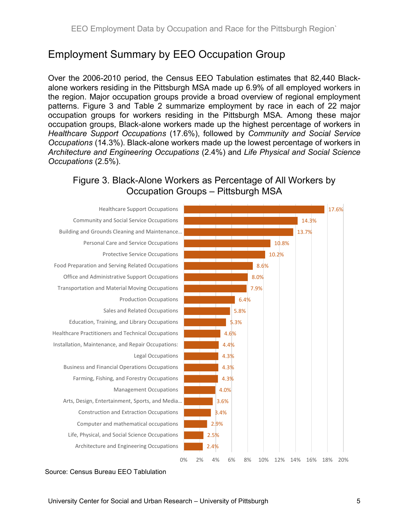## Employment Summary by EEO Occupation Group

Over the 2006-2010 period, the Census EEO Tabulation estimates that 82,440 Blackalone workers residing in the Pittsburgh MSA made up 6.9% of all employed workers in the region. Major occupation groups provide a broad overview of regional employment patterns. Figure 3 and Table 2 summarize employment by race in each of 22 major occupation groups for workers residing in the Pittsburgh MSA. Among these major occupation groups, Black-alone workers made up the highest percentage of workers in Healthcare Support Occupations (17.6%), followed by Community and Social Service Occupations (14.3%). Black-alone workers made up the lowest percentage of workers in Architecture and Engineering Occupations (2.4%) and Life Physical and Social Science Occupations (2.5%).

Figure 3. Black-Alone Workers as Percentage of All Workers by Occupation Groups – Pittsburgh MSA



#### Source: Census Bureau EEO Tablulation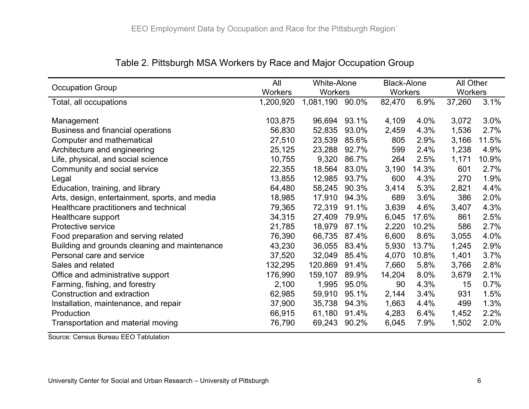| <b>Occupation Group</b>                        | All            | <b>White-Alone</b> |       | <b>Black-Alone</b> |       | All Other |       |
|------------------------------------------------|----------------|--------------------|-------|--------------------|-------|-----------|-------|
|                                                | <b>Workers</b> | <b>Workers</b>     |       | <b>Workers</b>     |       | Workers   |       |
| Total, all occupations                         | 1,200,920      | 1,081,190          | 90.0% | 82,470             | 6.9%  | 37,260    | 3.1%  |
|                                                |                |                    |       |                    |       |           |       |
| Management                                     | 103,875        | 96,694             | 93.1% | 4,109              | 4.0%  | 3,072     | 3.0%  |
| Business and financial operations              | 56,830         | 52,835             | 93.0% | 2,459              | 4.3%  | 1,536     | 2.7%  |
| Computer and mathematical                      | 27,510         | 23,539             | 85.6% | 805                | 2.9%  | 3,166     | 11.5% |
| Architecture and engineering                   | 25,125         | 23,288             | 92.7% | 599                | 2.4%  | 1,238     | 4.9%  |
| Life, physical, and social science             | 10,755         | 9,320              | 86.7% | 264                | 2.5%  | 1,171     | 10.9% |
| Community and social service                   | 22,355         | 18,564             | 83.0% | 3,190              | 14.3% | 601       | 2.7%  |
| Legal                                          | 13,855         | 12,985             | 93.7% | 600                | 4.3%  | 270       | 1.9%  |
| Education, training, and library               | 64,480         | 58,245             | 90.3% | 3,414              | 5.3%  | 2,821     | 4.4%  |
| Arts, design, entertainment, sports, and media | 18,985         | 17,910             | 94.3% | 689                | 3.6%  | 386       | 2.0%  |
| Healthcare practitioners and technical         | 79,365         | 72,319             | 91.1% | 3,639              | 4.6%  | 3,407     | 4.3%  |
| Healthcare support                             | 34,315         | 27,409             | 79.9% | 6,045              | 17.6% | 861       | 2.5%  |
| Protective service                             | 21,785         | 18,979             | 87.1% | 2,220              | 10.2% | 586       | 2.7%  |
| Food preparation and serving related           | 76,390         | 66,735             | 87.4% | 6,600              | 8.6%  | 3,055     | 4.0%  |
| Building and grounds cleaning and maintenance  | 43,230         | 36,055             | 83.4% | 5,930              | 13.7% | 1,245     | 2.9%  |
| Personal care and service                      | 37,520         | 32,049             | 85.4% | 4,070              | 10.8% | 1,401     | 3.7%  |
| Sales and related                              | 132,295        | 120,869            | 91.4% | 7,660              | 5.8%  | 3,766     | 2.8%  |
| Office and administrative support              | 176,990        | 159,107            | 89.9% | 14,204             | 8.0%  | 3,679     | 2.1%  |
| Farming, fishing, and forestry                 | 2,100          | 1,995              | 95.0% | 90                 | 4.3%  | 15        | 0.7%  |
| Construction and extraction                    | 62,985         | 59,910             | 95.1% | 2,144              | 3.4%  | 931       | 1.5%  |
| Installation, maintenance, and repair          | 37,900         | 35,738             | 94.3% | 1,663              | 4.4%  | 499       | 1.3%  |
| Production                                     | 66,915         | 61,180             | 91.4% | 4,283              | 6.4%  | 1,452     | 2.2%  |
| Transportation and material moving             | 76,790         | 69,243             | 90.2% | 6,045              | 7.9%  | 1,502     | 2.0%  |

#### Table 2. Pittsburgh MSA Workers by Race and Major Occupation Group

Source: Census Bureau EEO Tablulation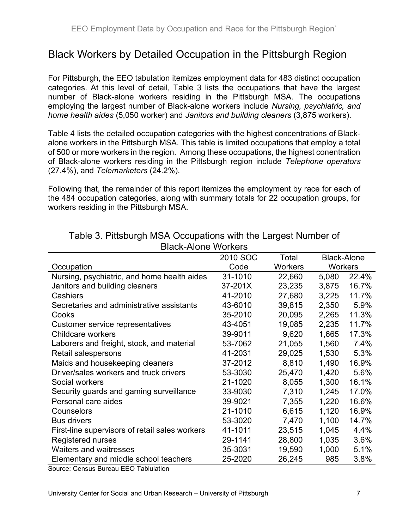## Black Workers by Detailed Occupation in the Pittsburgh Region

For Pittsburgh, the EEO tabulation itemizes employment data for 483 distinct occupation categories. At this level of detail, Table 3 lists the occupations that have the largest number of Black-alone workers residing in the Pittsburgh MSA. The occupations employing the largest number of Black-alone workers include Nursing, psychiatric, and home health aides (5,050 worker) and Janitors and building cleaners (3,875 workers).

Table 4 lists the detailed occupation categories with the highest concentrations of Blackalone workers in the Pittsburgh MSA. This table is limited occupations that employ a total of 500 or more workers in the region. Among these occupations, the highest conentration of Black-alone workers residing in the Pittsburgh region include Telephone operators (27.4%), and Telemarketers (24.2%).

Following that, the remainder of this report itemizes the employment by race for each of the 484 occupation categories, along with summary totals for 22 occupation groups, for workers residing in the Pittsburgh MSA.

|                                                | 2010 SOC | Total          |                | <b>Black-Alone</b> |
|------------------------------------------------|----------|----------------|----------------|--------------------|
| Occupation                                     | Code     | <b>Workers</b> | <b>Workers</b> |                    |
| Nursing, psychiatric, and home health aides    | 31-1010  | 22,660         | 5,080          | 22.4%              |
| Janitors and building cleaners                 | 37-201X  | 23,235         | 3,875          | 16.7%              |
| Cashiers                                       | 41-2010  | 27,680         | 3,225          | 11.7%              |
| Secretaries and administrative assistants      | 43-6010  | 39,815         | 2,350          | 5.9%               |
| Cooks                                          | 35-2010  | 20,095         | 2,265          | 11.3%              |
| Customer service representatives               | 43-4051  | 19,085         | 2,235          | 11.7%              |
| <b>Childcare workers</b>                       | 39-9011  | 9,620          | 1,665          | 17.3%              |
| Laborers and freight, stock, and material      | 53-7062  | 21,055         | 1,560          | 7.4%               |
| Retail salespersons                            | 41-2031  | 29,025         | 1,530          | 5.3%               |
| Maids and housekeeping cleaners                | 37-2012  | 8,810          | 1,490          | 16.9%              |
| Driver/sales workers and truck drivers         | 53-3030  | 25,470         | 1,420          | 5.6%               |
| Social workers                                 | 21-1020  | 8,055          | 1,300          | 16.1%              |
| Security guards and gaming surveillance        | 33-9030  | 7,310          | 1,245          | 17.0%              |
| Personal care aides                            | 39-9021  | 7,355          | 1,220          | 16.6%              |
| Counselors                                     | 21-1010  | 6,615          | 1,120          | 16.9%              |
| <b>Bus drivers</b>                             | 53-3020  | 7,470          | 1,100          | 14.7%              |
| First-line supervisors of retail sales workers | 41-1011  | 23,515         | 1,045          | 4.4%               |
| <b>Registered nurses</b>                       | 29-1141  | 28,800         | 1,035          | 3.6%               |
| <b>Waiters and waitresses</b>                  | 35-3031  | 19,590         | 1,000          | 5.1%               |
| Elementary and middle school teachers          | 25-2020  | 26,245         | 985            | 3.8%               |

Table 3. Pittsburgh MSA Occupations with the Largest Number of Black-Alone Workers

Source: Census Bureau EEO Tablulation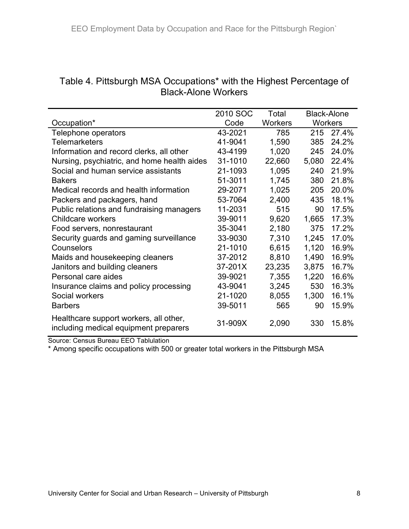| Table 4. Pittsburgh MSA Occupations* with the Highest Percentage of |  |
|---------------------------------------------------------------------|--|
| Black-Alone Workers                                                 |  |

|                                                                                 | 2010 SOC | Total          |                | <b>Black-Alone</b> |  |  |  |
|---------------------------------------------------------------------------------|----------|----------------|----------------|--------------------|--|--|--|
| Occupation*                                                                     | Code     | <b>Workers</b> | <b>Workers</b> |                    |  |  |  |
| Telephone operators                                                             | 43-2021  | 785            | 215            | 27.4%              |  |  |  |
| <b>Telemarketers</b>                                                            | 41-9041  | 1,590          | 385            | 24.2%              |  |  |  |
| Information and record clerks, all other                                        | 43-4199  | 1,020          | 245            | 24.0%              |  |  |  |
| Nursing, psychiatric, and home health aides                                     | 31-1010  | 22,660         | 5,080          | 22.4%              |  |  |  |
| Social and human service assistants                                             | 21-1093  | 1,095          | 240            | 21.9%              |  |  |  |
| <b>Bakers</b>                                                                   | 51-3011  | 1,745          | 380            | 21.8%              |  |  |  |
| Medical records and health information                                          | 29-2071  | 1,025          | 205            | 20.0%              |  |  |  |
| Packers and packagers, hand                                                     | 53-7064  | 2,400          | 435            | 18.1%              |  |  |  |
| Public relations and fundraising managers                                       | 11-2031  | 515            | 90             | 17.5%              |  |  |  |
| <b>Childcare workers</b>                                                        | 39-9011  | 9,620          | 1,665          | 17.3%              |  |  |  |
| Food servers, nonrestaurant                                                     | 35-3041  | 2,180          | 375            | 17.2%              |  |  |  |
| Security guards and gaming surveillance                                         | 33-9030  | 7,310          | 1,245          | 17.0%              |  |  |  |
| Counselors                                                                      | 21-1010  | 6,615          | 1,120          | 16.9%              |  |  |  |
| Maids and housekeeping cleaners                                                 | 37-2012  | 8,810          | 1,490          | 16.9%              |  |  |  |
| Janitors and building cleaners                                                  | 37-201X  | 23,235         | 3,875          | 16.7%              |  |  |  |
| Personal care aides                                                             | 39-9021  | 7,355          | 1,220          | 16.6%              |  |  |  |
| Insurance claims and policy processing                                          | 43-9041  | 3,245          | 530            | 16.3%              |  |  |  |
| Social workers                                                                  | 21-1020  | 8,055          | 1,300          | 16.1%              |  |  |  |
| <b>Barbers</b>                                                                  | 39-5011  | 565            | 90             | 15.9%              |  |  |  |
| Healthcare support workers, all other,<br>including medical equipment preparers | 31-909X  | 2,090          | 330            | 15.8%              |  |  |  |

Source: Census Bureau EEO Tablulation

\* Among specific occupations with 500 or greater total workers in the Pittsburgh MSA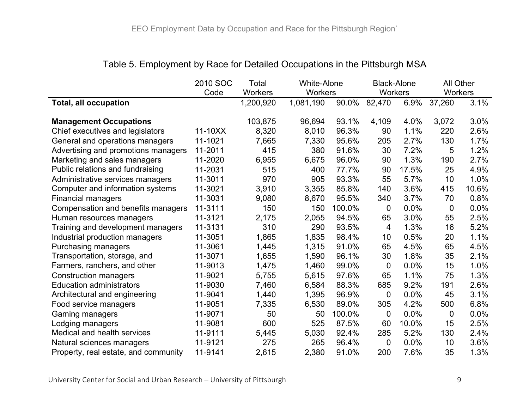|                                      | 2010 SOC | Total          | <b>White-Alone</b> |        | <b>Black-Alone</b> |       | All Other      |       |
|--------------------------------------|----------|----------------|--------------------|--------|--------------------|-------|----------------|-------|
|                                      | Code     | <b>Workers</b> | Workers            |        | Workers            |       | Workers        |       |
| <b>Total, all occupation</b>         |          | 1,200,920      | 1,081,190          | 90.0%  | 82,470             | 6.9%  | 37,260         | 3.1%  |
|                                      |          |                |                    |        |                    |       |                |       |
| <b>Management Occupations</b>        |          | 103,875        | 96,694             | 93.1%  | 4,109              | 4.0%  | 3,072          | 3.0%  |
| Chief executives and legislators     | 11-10XX  | 8,320          | 8,010              | 96.3%  | 90                 | 1.1%  | 220            | 2.6%  |
| General and operations managers      | 11-1021  | 7,665          | 7,330              | 95.6%  | 205                | 2.7%  | 130            | 1.7%  |
| Advertising and promotions managers  | 11-2011  | 415            | 380                | 91.6%  | 30                 | 7.2%  | 5              | 1.2%  |
| Marketing and sales managers         | 11-2020  | 6,955          | 6,675              | 96.0%  | 90                 | 1.3%  | 190            | 2.7%  |
| Public relations and fundraising     | 11-2031  | 515            | 400                | 77.7%  | 90                 | 17.5% | 25             | 4.9%  |
| Administrative services managers     | 11-3011  | 970            | 905                | 93.3%  | 55                 | 5.7%  | 10             | 1.0%  |
| Computer and information systems     | 11-3021  | 3,910          | 3,355              | 85.8%  | 140                | 3.6%  | 415            | 10.6% |
| <b>Financial managers</b>            | 11-3031  | 9,080          | 8,670              | 95.5%  | 340                | 3.7%  | 70             | 0.8%  |
| Compensation and benefits managers   | 11-3111  | 150            | 150                | 100.0% | 0                  | 0.0%  | 0              | 0.0%  |
| Human resources managers             | 11-3121  | 2,175          | 2,055              | 94.5%  | 65                 | 3.0%  | 55             | 2.5%  |
| Training and development managers    | 11-3131  | 310            | 290                | 93.5%  | 4                  | 1.3%  | 16             | 5.2%  |
| Industrial production managers       | 11-3051  | 1,865          | 1,835              | 98.4%  | 10                 | 0.5%  | 20             | 1.1%  |
| Purchasing managers                  | 11-3061  | 1,445          | 1,315              | 91.0%  | 65                 | 4.5%  | 65             | 4.5%  |
| Transportation, storage, and         | 11-3071  | 1,655          | 1,590              | 96.1%  | 30                 | 1.8%  | 35             | 2.1%  |
| Farmers, ranchers, and other         | 11-9013  | 1,475          | 1,460              | 99.0%  | 0                  | 0.0%  | 15             | 1.0%  |
| <b>Construction managers</b>         | 11-9021  | 5,755          | 5,615              | 97.6%  | 65                 | 1.1%  | 75             | 1.3%  |
| <b>Education administrators</b>      | 11-9030  | 7,460          | 6,584              | 88.3%  | 685                | 9.2%  | 191            | 2.6%  |
| Architectural and engineering        | 11-9041  | 1,440          | 1,395              | 96.9%  | 0                  | 0.0%  | 45             | 3.1%  |
| Food service managers                | 11-9051  | 7,335          | 6,530              | 89.0%  | 305                | 4.2%  | 500            | 6.8%  |
| Gaming managers                      | 11-9071  | 50             | 50                 | 100.0% | 0                  | 0.0%  | $\overline{0}$ | 0.0%  |
| Lodging managers                     | 11-9081  | 600            | 525                | 87.5%  | 60                 | 10.0% | 15             | 2.5%  |
| <b>Medical and health services</b>   | 11-9111  | 5,445          | 5,030              | 92.4%  | 285                | 5.2%  | 130            | 2.4%  |
| Natural sciences managers            | 11-9121  | 275            | 265                | 96.4%  | 0                  | 0.0%  | 10             | 3.6%  |
| Property, real estate, and community | 11-9141  | 2,615          | 2,380              | 91.0%  | 200                | 7.6%  | 35             | 1.3%  |

#### Table 5. Employment by Race for Detailed Occupations in the Pittsburgh MSA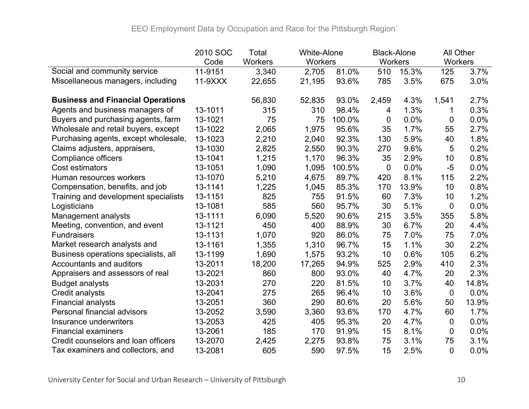|                                          | 2010 SOC | Total          | <b>White-Alone</b> |        | <b>Black-Alone</b> |       | All Other      |       |
|------------------------------------------|----------|----------------|--------------------|--------|--------------------|-------|----------------|-------|
|                                          | Code     | <b>Workers</b> | Workers            |        | Workers            |       | Workers        |       |
| Social and community service             | 11-9151  | 3,340          | 2,705              | 81.0%  | 510                | 15.3% | 125            | 3.7%  |
| Miscellaneous managers, including        | 11-9XXX  | 22,655         | 21,195             | 93.6%  | 785                | 3.5%  | 675            | 3.0%  |
| <b>Business and Financial Operations</b> |          | 56,830         | 52,835             | 93.0%  | 2,459              | 4.3%  | 1,541          | 2.7%  |
| Agents and business managers of          | 13-1011  | 315            | 310                | 98.4%  | 4                  | 1.3%  |                | 0.3%  |
| Buyers and purchasing agents, farm       | 13-1021  | 75             | 75                 | 100.0% | $\mathbf 0$        | 0.0%  | $\overline{0}$ | 0.0%  |
| Wholesale and retail buyers, except      | 13-1022  | 2,065          | 1,975              | 95.6%  | 35                 | 1.7%  | 55             | 2.7%  |
| Purchasing agents, except wholesale,     | 13-1023  | 2,210          | 2,040              | 92.3%  | 130                | 5.9%  | 40             | 1.8%  |
| Claims adjusters, appraisers,            | 13-1030  | 2,825          | 2,550              | 90.3%  | 270                | 9.6%  | 5              | 0.2%  |
| <b>Compliance officers</b>               | 13-1041  | 1,215          | 1,170              | 96.3%  | 35                 | 2.9%  | 10             | 0.8%  |
| Cost estimators                          | 13-1051  | 1,090          | 1,095              | 100.5% | 0                  | 0.0%  | $-5$           | 0.0%  |
| Human resources workers                  | 13-1070  | 5,210          | 4,675              | 89.7%  | 420                | 8.1%  | 115            | 2.2%  |
| Compensation, benefits, and job          | 13-1141  | 1,225          | 1,045              | 85.3%  | 170                | 13.9% | 10             | 0.8%  |
| Training and development specialists     | 13-1151  | 825            | 755                | 91.5%  | 60                 | 7.3%  | 10             | 1.2%  |
| Logisticians                             | 13-1081  | 585            | 560                | 95.7%  | 30                 | 5.1%  | 0              | 0.0%  |
| Management analysts                      | 13-1111  | 6,090          | 5,520              | 90.6%  | 215                | 3.5%  | 355            | 5.8%  |
| Meeting, convention, and event           | 13-1121  | 450            | 400                | 88.9%  | 30                 | 6.7%  | 20             | 4.4%  |
| <b>Fundraisers</b>                       | 13-1131  | 1,070          | 920                | 86.0%  | 75                 | 7.0%  | 75             | 7.0%  |
| Market research analysts and             | 13-1161  | 1,355          | 1,310              | 96.7%  | 15                 | 1.1%  | 30             | 2.2%  |
| Business operations specialists, all     | 13-1199  | 1,690          | 1,575              | 93.2%  | 10                 | 0.6%  | 105            | 6.2%  |
| Accountants and auditors                 | 13-2011  | 18,200         | 17,265             | 94.9%  | 525                | 2.9%  | 410            | 2.3%  |
| Appraisers and assessors of real         | 13-2021  | 860            | 800                | 93.0%  | 40                 | 4.7%  | 20             | 2.3%  |
| <b>Budget analysts</b>                   | 13-2031  | 270            | 220                | 81.5%  | 10                 | 3.7%  | 40             | 14.8% |
| <b>Credit analysts</b>                   | 13-2041  | 275            | 265                | 96.4%  | 10                 | 3.6%  | $\mathbf 0$    | 0.0%  |
| <b>Financial analysts</b>                | 13-2051  | 360            | 290                | 80.6%  | 20                 | 5.6%  | 50             | 13.9% |
| Personal financial advisors              | 13-2052  | 3,590          | 3,360              | 93.6%  | 170                | 4.7%  | 60             | 1.7%  |
| Insurance underwriters                   | 13-2053  | 425            | 405                | 95.3%  | 20                 | 4.7%  | $\mathbf 0$    | 0.0%  |
| <b>Financial examiners</b>               | 13-2061  | 185            | 170                | 91.9%  | 15                 | 8.1%  | 0              | 0.0%  |
| Credit counselors and loan officers      | 13-2070  | 2,425          | 2,275              | 93.8%  | 75                 | 3.1%  | 75             | 3.1%  |
| Tax examiners and collectors, and        | 13-2081  | 605            | 590                | 97.5%  | 15                 | 2.5%  | $\overline{0}$ | 0.0%  |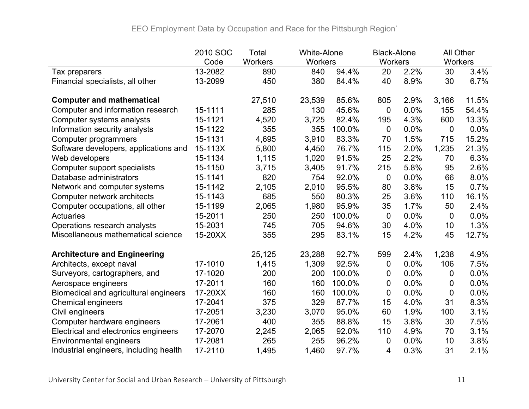|                                        | 2010 SOC | Total   | <b>White-Alone</b> |        | <b>Black-Alone</b> |      | All Other   |       |
|----------------------------------------|----------|---------|--------------------|--------|--------------------|------|-------------|-------|
|                                        | Code     | Workers | Workers            |        | <b>Workers</b>     |      | Workers     |       |
| Tax preparers                          | 13-2082  | 890     | 840                | 94.4%  | 20                 | 2.2% | 30          | 3.4%  |
| Financial specialists, all other       | 13-2099  | 450     | 380                | 84.4%  | 40                 | 8.9% | 30          | 6.7%  |
| <b>Computer and mathematical</b>       |          | 27,510  | 23,539             | 85.6%  | 805                | 2.9% | 3,166       | 11.5% |
| Computer and information research      | 15-1111  | 285     | 130                | 45.6%  | $\mathbf 0$        | 0.0% | 155         | 54.4% |
| Computer systems analysts              | 15-1121  | 4,520   | 3,725              | 82.4%  | 195                | 4.3% | 600         | 13.3% |
| Information security analysts          | 15-1122  | 355     | 355                | 100.0% | $\mathbf 0$        | 0.0% | $\mathbf 0$ | 0.0%  |
| Computer programmers                   | 15-1131  | 4,695   | 3,910              | 83.3%  | 70                 | 1.5% | 715         | 15.2% |
| Software developers, applications and  | 15-113X  | 5,800   | 4,450              | 76.7%  | 115                | 2.0% | 1,235       | 21.3% |
| Web developers                         | 15-1134  | 1,115   | 1,020              | 91.5%  | 25                 | 2.2% | 70          | 6.3%  |
| Computer support specialists           | 15-1150  | 3,715   | 3,405              | 91.7%  | 215                | 5.8% | 95          | 2.6%  |
| Database administrators                | 15-1141  | 820     | 754                | 92.0%  | $\mathbf 0$        | 0.0% | 66          | 8.0%  |
| Network and computer systems           | 15-1142  | 2,105   | 2,010              | 95.5%  | 80                 | 3.8% | 15          | 0.7%  |
| Computer network architects            | 15-1143  | 685     | 550                | 80.3%  | 25                 | 3.6% | 110         | 16.1% |
| Computer occupations, all other        | 15-1199  | 2,065   | 1,980              | 95.9%  | 35                 | 1.7% | 50          | 2.4%  |
| Actuaries                              | 15-2011  | 250     | 250                | 100.0% | $\mathbf 0$        | 0.0% | $\mathbf 0$ | 0.0%  |
| Operations research analysts           | 15-2031  | 745     | 705                | 94.6%  | 30                 | 4.0% | 10          | 1.3%  |
| Miscellaneous mathematical science     | 15-20XX  | 355     | 295                | 83.1%  | 15                 | 4.2% | 45          | 12.7% |
| <b>Architecture and Engineering</b>    |          | 25,125  | 23,288             | 92.7%  | 599                | 2.4% | 1,238       | 4.9%  |
| Architects, except naval               | 17-1010  | 1,415   | 1,309              | 92.5%  | 0                  | 0.0% | 106         | 7.5%  |
| Surveyors, cartographers, and          | 17-1020  | 200     | 200                | 100.0% | 0                  | 0.0% | 0           | 0.0%  |
| Aerospace engineers                    | 17-2011  | 160     | 160                | 100.0% | 0                  | 0.0% | 0           | 0.0%  |
| Biomedical and agricultural engineers  | 17-20XX  | 160     | 160                | 100.0% | $\mathbf 0$        | 0.0% | 0           | 0.0%  |
| <b>Chemical engineers</b>              | 17-2041  | 375     | 329                | 87.7%  | 15                 | 4.0% | 31          | 8.3%  |
| Civil engineers                        | 17-2051  | 3,230   | 3,070              | 95.0%  | 60                 | 1.9% | 100         | 3.1%  |
| Computer hardware engineers            | 17-2061  | 400     | 355                | 88.8%  | 15                 | 3.8% | 30          | 7.5%  |
| Electrical and electronics engineers   | 17-2070  | 2,245   | 2,065              | 92.0%  | 110                | 4.9% | 70          | 3.1%  |
| <b>Environmental engineers</b>         | 17-2081  | 265     | 255                | 96.2%  | 0                  | 0.0% | 10          | 3.8%  |
| Industrial engineers, including health | 17-2110  | 1,495   | 1,460              | 97.7%  | 4                  | 0.3% | 31          | 2.1%  |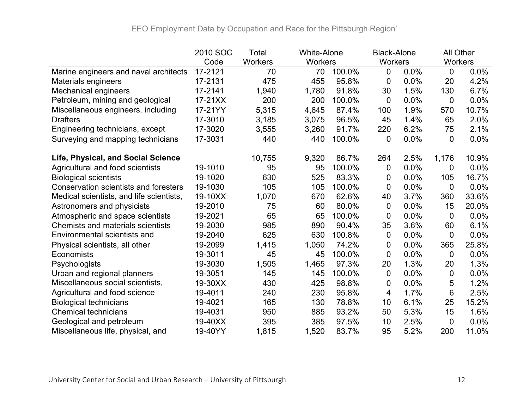|                                          | 2010 SOC | Total   | <b>White-Alone</b> |           | <b>Black-Alone</b> |      | All Other       |       |
|------------------------------------------|----------|---------|--------------------|-----------|--------------------|------|-----------------|-------|
|                                          | Code     | Workers | <b>Workers</b>     |           | <b>Workers</b>     |      | <b>Workers</b>  |       |
| Marine engineers and naval architects    | 17-2121  | 70      | 70                 | $100.0\%$ | $\mathbf 0$        | 0.0% | $\mathbf 0$     | 0.0%  |
| Materials engineers                      | 17-2131  | 475     | 455                | 95.8%     | 0                  | 0.0% | 20              | 4.2%  |
| <b>Mechanical engineers</b>              | 17-2141  | 1,940   | 1,780              | 91.8%     | 30                 | 1.5% | 130             | 6.7%  |
| Petroleum, mining and geological         | 17-21XX  | 200     | 200                | 100.0%    | $\overline{0}$     | 0.0% | 0               | 0.0%  |
| Miscellaneous engineers, including       | 17-21YY  | 5,315   | 4,645              | 87.4%     | 100                | 1.9% | 570             | 10.7% |
| <b>Drafters</b>                          | 17-3010  | 3,185   | 3,075              | 96.5%     | 45                 | 1.4% | 65              | 2.0%  |
| Engineering technicians, except          | 17-3020  | 3,555   | 3,260              | 91.7%     | 220                | 6.2% | 75              | 2.1%  |
| Surveying and mapping technicians        | 17-3031  | 440     | 440                | 100.0%    | 0                  | 0.0% | 0               | 0.0%  |
| Life, Physical, and Social Science       |          | 10,755  | 9,320              | 86.7%     | 264                | 2.5% | 1,176           | 10.9% |
| Agricultural and food scientists         | 19-1010  | 95      | 95                 | 100.0%    | 0                  | 0.0% | 0               | 0.0%  |
| <b>Biological scientists</b>             | 19-1020  | 630     | 525                | 83.3%     | 0                  | 0.0% | 105             | 16.7% |
| Conservation scientists and foresters    | 19-1030  | 105     | 105                | 100.0%    | $\mathbf 0$        | 0.0% | 0               | 0.0%  |
| Medical scientists, and life scientists, | 19-10XX  | 1,070   | 670                | 62.6%     | 40                 | 3.7% | 360             | 33.6% |
| Astronomers and physicists               | 19-2010  | 75      | 60                 | 80.0%     | $\overline{0}$     | 0.0% | 15              | 20.0% |
| Atmospheric and space scientists         | 19-2021  | 65      | 65                 | 100.0%    | 0                  | 0.0% | 0               | 0.0%  |
| <b>Chemists and materials scientists</b> | 19-2030  | 985     | 890                | 90.4%     | 35                 | 3.6% | 60              | 6.1%  |
| <b>Environmental scientists and</b>      | 19-2040  | 625     | 630                | 100.8%    | $\overline{0}$     | 0.0% | $\mathbf 0$     | 0.0%  |
| Physical scientists, all other           | 19-2099  | 1,415   | 1,050              | 74.2%     | 0                  | 0.0% | 365             | 25.8% |
| <b>Economists</b>                        | 19-3011  | 45      | 45                 | 100.0%    | 0                  | 0.0% | 0               | 0.0%  |
| Psychologists                            | 19-3030  | 1,505   | 1,465              | 97.3%     | 20                 | 1.3% | 20              | 1.3%  |
| Urban and regional planners              | 19-3051  | 145     | 145                | 100.0%    | $\overline{0}$     | 0.0% | 0               | 0.0%  |
| Miscellaneous social scientists,         | 19-30XX  | 430     | 425                | 98.8%     | 0                  | 0.0% | 5               | 1.2%  |
| Agricultural and food science            | 19-4011  | 240     | 230                | 95.8%     | 4                  | 1.7% | $6\phantom{1}6$ | 2.5%  |
| <b>Biological technicians</b>            | 19-4021  | 165     | 130                | 78.8%     | 10                 | 6.1% | 25              | 15.2% |
| <b>Chemical technicians</b>              | 19-4031  | 950     | 885                | 93.2%     | 50                 | 5.3% | 15              | 1.6%  |
| Geological and petroleum                 | 19-40XX  | 395     | 385                | 97.5%     | 10                 | 2.5% | 0               | 0.0%  |
| Miscellaneous life, physical, and        | 19-40YY  | 1,815   | 1,520              | 83.7%     | 95                 | 5.2% | 200             | 11.0% |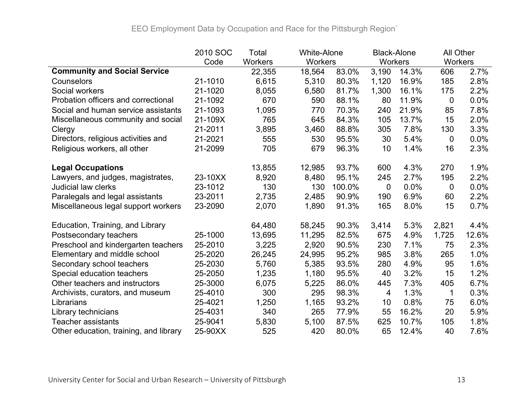|                                        | 2010 SOC | Total   | <b>White-Alone</b> |        | <b>Black-Alone</b> |       | All Other |       |
|----------------------------------------|----------|---------|--------------------|--------|--------------------|-------|-----------|-------|
|                                        | Code     | Workers | <b>Workers</b>     |        | Workers            |       | Workers   |       |
| <b>Community and Social Service</b>    |          | 22,355  | 18,564             | 83.0%  | 3,190              | 14.3% | 606       | 2.7%  |
| Counselors                             | 21-1010  | 6,615   | 5,310              | 80.3%  | 1,120              | 16.9% | 185       | 2.8%  |
| Social workers                         | 21-1020  | 8,055   | 6,580              | 81.7%  | 1,300              | 16.1% | 175       | 2.2%  |
| Probation officers and correctional    | 21-1092  | 670     | 590                | 88.1%  | 80                 | 11.9% | 0         | 0.0%  |
| Social and human service assistants    | 21-1093  | 1,095   | 770                | 70.3%  | 240                | 21.9% | 85        | 7.8%  |
| Miscellaneous community and social     | 21-109X  | 765     | 645                | 84.3%  | 105                | 13.7% | 15        | 2.0%  |
| Clergy                                 | 21-2011  | 3,895   | 3,460              | 88.8%  | 305                | 7.8%  | 130       | 3.3%  |
| Directors, religious activities and    | 21-2021  | 555     | 530                | 95.5%  | 30                 | 5.4%  | 0         | 0.0%  |
| Religious workers, all other           | 21-2099  | 705     | 679                | 96.3%  | 10                 | 1.4%  | 16        | 2.3%  |
| <b>Legal Occupations</b>               |          | 13,855  | 12,985             | 93.7%  | 600                | 4.3%  | 270       | 1.9%  |
| Lawyers, and judges, magistrates,      | 23-10XX  | 8,920   | 8,480              | 95.1%  | 245                | 2.7%  | 195       | 2.2%  |
| <b>Judicial law clerks</b>             | 23-1012  | 130     | 130                | 100.0% | $\overline{0}$     | 0.0%  | 0         | 0.0%  |
| Paralegals and legal assistants        | 23-2011  | 2,735   | 2,485              | 90.9%  | 190                | 6.9%  | 60        | 2.2%  |
| Miscellaneous legal support workers    | 23-2090  | 2,070   | 1,890              | 91.3%  | 165                | 8.0%  | 15        | 0.7%  |
| Education, Training, and Library       |          | 64,480  | 58,245             | 90.3%  | 3,414              | 5.3%  | 2,821     | 4.4%  |
| Postsecondary teachers                 | 25-1000  | 13,695  | 11,295             | 82.5%  | 675                | 4.9%  | 1,725     | 12.6% |
| Preschool and kindergarten teachers    | 25-2010  | 3,225   | 2,920              | 90.5%  | 230                | 7.1%  | 75        | 2.3%  |
| Elementary and middle school           | 25-2020  | 26,245  | 24,995             | 95.2%  | 985                | 3.8%  | 265       | 1.0%  |
| Secondary school teachers              | 25-2030  | 5,760   | 5,385              | 93.5%  | 280                | 4.9%  | 95        | 1.6%  |
| Special education teachers             | 25-2050  | 1,235   | 1,180              | 95.5%  | 40                 | 3.2%  | 15        | 1.2%  |
| Other teachers and instructors         | 25-3000  | 6,075   | 5,225              | 86.0%  | 445                | 7.3%  | 405       | 6.7%  |
| Archivists, curators, and museum       | 25-4010  | 300     | 295                | 98.3%  | 4                  | 1.3%  | 1         | 0.3%  |
| Librarians                             | 25-4021  | 1,250   | 1,165              | 93.2%  | 10                 | 0.8%  | 75        | 6.0%  |
| Library technicians                    | 25-4031  | 340     | 265                | 77.9%  | 55                 | 16.2% | 20        | 5.9%  |
| <b>Teacher assistants</b>              | 25-9041  | 5,830   | 5,100              | 87.5%  | 625                | 10.7% | 105       | 1.8%  |
| Other education, training, and library | 25-90XX  | 525     | 420                | 80.0%  | 65                 | 12.4% | 40        | 7.6%  |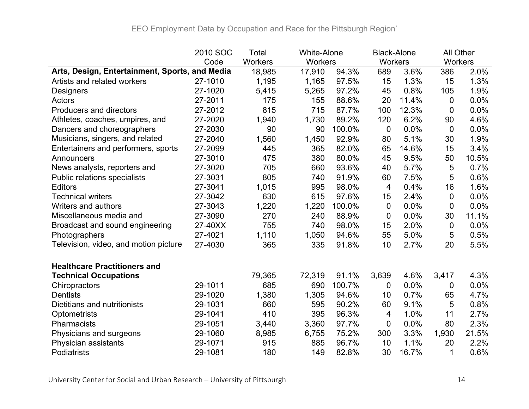|                                                | 2010 SOC | Total   | <b>White-Alone</b> |        | <b>Black-Alone</b> |       |         | <b>All Other</b> |
|------------------------------------------------|----------|---------|--------------------|--------|--------------------|-------|---------|------------------|
|                                                | Code     | Workers | Workers            |        | Workers            |       | Workers |                  |
| Arts, Design, Entertainment, Sports, and Media |          | 18,985  | 17,910             | 94.3%  | 689                | 3.6%  | 386     | 2.0%             |
| Artists and related workers                    | 27-1010  | 1,195   | 1,165              | 97.5%  | 15                 | 1.3%  | 15      | 1.3%             |
| Designers                                      | 27-1020  | 5,415   | 5,265              | 97.2%  | 45                 | 0.8%  | 105     | 1.9%             |
| Actors                                         | 27-2011  | 175     | 155                | 88.6%  | 20                 | 11.4% | 0       | 0.0%             |
| <b>Producers and directors</b>                 | 27-2012  | 815     | 715                | 87.7%  | 100                | 12.3% | 0       | 0.0%             |
| Athletes, coaches, umpires, and                | 27-2020  | 1,940   | 1,730              | 89.2%  | 120                | 6.2%  | 90      | 4.6%             |
| Dancers and choreographers                     | 27-2030  | 90      | 90                 | 100.0% | $\mathbf 0$        | 0.0%  | 0       | 0.0%             |
| Musicians, singers, and related                | 27-2040  | 1,560   | 1,450              | 92.9%  | 80                 | 5.1%  | 30      | 1.9%             |
| Entertainers and performers, sports            | 27-2099  | 445     | 365                | 82.0%  | 65                 | 14.6% | 15      | 3.4%             |
| Announcers                                     | 27-3010  | 475     | 380                | 80.0%  | 45                 | 9.5%  | 50      | 10.5%            |
| News analysts, reporters and                   | 27-3020  | 705     | 660                | 93.6%  | 40                 | 5.7%  | 5       | 0.7%             |
| Public relations specialists                   | 27-3031  | 805     | 740                | 91.9%  | 60                 | 7.5%  | 5       | 0.6%             |
| <b>Editors</b>                                 | 27-3041  | 1,015   | 995                | 98.0%  | $\overline{4}$     | 0.4%  | 16      | 1.6%             |
| <b>Technical writers</b>                       | 27-3042  | 630     | 615                | 97.6%  | 15                 | 2.4%  | 0       | 0.0%             |
| Writers and authors                            | 27-3043  | 1,220   | 1,220              | 100.0% | $\overline{0}$     | 0.0%  | 0       | 0.0%             |
| Miscellaneous media and                        | 27-3090  | 270     | 240                | 88.9%  | 0                  | 0.0%  | 30      | 11.1%            |
| Broadcast and sound engineering                | 27-40XX  | 755     | 740                | 98.0%  | 15                 | 2.0%  | 0       | 0.0%             |
| Photographers                                  | 27-4021  | 1,110   | 1,050              | 94.6%  | 55                 | 5.0%  | 5       | 0.5%             |
| Television, video, and motion picture          | 27-4030  | 365     | 335                | 91.8%  | 10                 | 2.7%  | 20      | 5.5%             |
| <b>Healthcare Practitioners and</b>            |          |         |                    |        |                    |       |         |                  |
| <b>Technical Occupations</b>                   |          | 79,365  | 72,319             | 91.1%  | 3,639              | 4.6%  | 3,417   | 4.3%             |
| Chiropractors                                  | 29-1011  | 685     | 690                | 100.7% | 0                  | 0.0%  | 0       | $0.0\%$          |
| <b>Dentists</b>                                | 29-1020  | 1,380   | 1,305              | 94.6%  | 10                 | 0.7%  | 65      | 4.7%             |
| Dietitians and nutritionists                   | 29-1031  | 660     | 595                | 90.2%  | 60                 | 9.1%  | 5       | 0.8%             |
| <b>Optometrists</b>                            | 29-1041  | 410     | 395                | 96.3%  | 4                  | 1.0%  | 11      | 2.7%             |
| Pharmacists                                    | 29-1051  | 3,440   | 3,360              | 97.7%  | $\mathbf 0$        | 0.0%  | 80      | 2.3%             |
| Physicians and surgeons                        | 29-1060  | 8,985   | 6,755              | 75.2%  | 300                | 3.3%  | 1,930   | 21.5%            |
| Physician assistants                           | 29-1071  | 915     | 885                | 96.7%  | 10                 | 1.1%  | 20      | 2.2%             |
| Podiatrists                                    | 29-1081  | 180     | 149                | 82.8%  | 30                 | 16.7% | 1       | 0.6%             |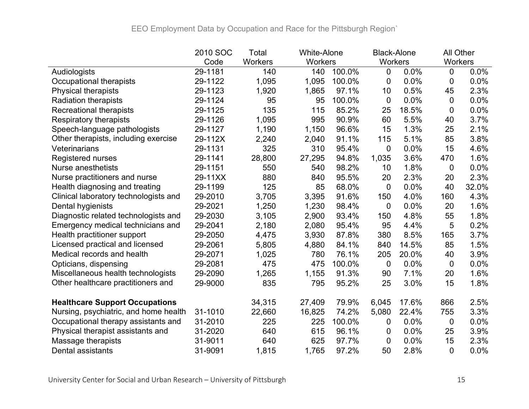|                                       | 2010 SOC | Total   | <b>White-Alone</b> | <b>Black-Alone</b> |                |       |                | All Other |  |
|---------------------------------------|----------|---------|--------------------|--------------------|----------------|-------|----------------|-----------|--|
|                                       | Code     | Workers | <b>Workers</b>     |                    | <b>Workers</b> |       | Workers        |           |  |
| Audiologists                          | 29-1181  | 140     | 140                | 100.0%             | 0              | 0.0%  | $\overline{0}$ | 0.0%      |  |
| Occupational therapists               | 29-1122  | 1,095   | 1,095              | 100.0%             | 0              | 0.0%  | 0              | 0.0%      |  |
| <b>Physical therapists</b>            | 29-1123  | 1,920   | 1,865              | 97.1%              | 10             | 0.5%  | 45             | 2.3%      |  |
| <b>Radiation therapists</b>           | 29-1124  | 95      | 95                 | 100.0%             | 0              | 0.0%  | $\overline{0}$ | 0.0%      |  |
| <b>Recreational therapists</b>        | 29-1125  | 135     | 115                | 85.2%              | 25             | 18.5% | 0              | 0.0%      |  |
| <b>Respiratory therapists</b>         | 29-1126  | 1,095   | 995                | 90.9%              | 60             | 5.5%  | 40             | 3.7%      |  |
| Speech-language pathologists          | 29-1127  | 1,190   | 1,150              | 96.6%              | 15             | 1.3%  | 25             | 2.1%      |  |
| Other therapists, including exercise  | 29-112X  | 2,240   | 2,040              | 91.1%              | 115            | 5.1%  | 85             | 3.8%      |  |
| Veterinarians                         | 29-1131  | 325     | 310                | 95.4%              | 0              | 0.0%  | 15             | 4.6%      |  |
| <b>Registered nurses</b>              | 29-1141  | 28,800  | 27,295             | 94.8%              | 1,035          | 3.6%  | 470            | 1.6%      |  |
| <b>Nurse anesthetists</b>             | 29-1151  | 550     | 540                | 98.2%              | 10             | 1.8%  | 0              | $0.0\%$   |  |
| Nurse practitioners and nurse         | 29-11XX  | 880     | 840                | 95.5%              | 20             | 2.3%  | 20             | 2.3%      |  |
| Health diagnosing and treating        | 29-1199  | 125     | 85                 | 68.0%              | $\mathbf 0$    | 0.0%  | 40             | 32.0%     |  |
| Clinical laboratory technologists and | 29-2010  | 3,705   | 3,395              | 91.6%              | 150            | 4.0%  | 160            | 4.3%      |  |
| Dental hygienists                     | 29-2021  | 1,250   | 1,230              | 98.4%              | 0              | 0.0%  | 20             | 1.6%      |  |
| Diagnostic related technologists and  | 29-2030  | 3,105   | 2,900              | 93.4%              | 150            | 4.8%  | 55             | 1.8%      |  |
| Emergency medical technicians and     | 29-2041  | 2,180   | 2,080              | 95.4%              | 95             | 4.4%  | 5              | 0.2%      |  |
| Health practitioner support           | 29-2050  | 4,475   | 3,930              | 87.8%              | 380            | 8.5%  | 165            | 3.7%      |  |
| Licensed practical and licensed       | 29-2061  | 5,805   | 4,880              | 84.1%              | 840            | 14.5% | 85             | 1.5%      |  |
| Medical records and health            | 29-2071  | 1,025   | 780                | 76.1%              | 205            | 20.0% | 40             | 3.9%      |  |
| Opticians, dispensing                 | 29-2081  | 475     | 475                | 100.0%             | $\mathbf 0$    | 0.0%  | $\mathbf 0$    | 0.0%      |  |
| Miscellaneous health technologists    | 29-2090  | 1,265   | 1,155              | 91.3%              | 90             | 7.1%  | 20             | 1.6%      |  |
| Other healthcare practitioners and    | 29-9000  | 835     | 795                | 95.2%              | 25             | 3.0%  | 15             | 1.8%      |  |
| <b>Healthcare Support Occupations</b> |          | 34,315  | 27,409             | 79.9%              | 6,045          | 17.6% | 866            | 2.5%      |  |
| Nursing, psychiatric, and home health | 31-1010  | 22,660  | 16,825             | 74.2%              | 5,080          | 22.4% | 755            | 3.3%      |  |
| Occupational therapy assistants and   | 31-2010  | 225     | 225                | 100.0%             | 0              | 0.0%  | 0              | 0.0%      |  |
| Physical therapist assistants and     | 31-2020  | 640     | 615                | 96.1%              | 0              | 0.0%  | 25             | 3.9%      |  |
| Massage therapists                    | 31-9011  | 640     | 625                | 97.7%              | 0              | 0.0%  | 15             | 2.3%      |  |
| Dental assistants                     | 31-9091  | 1,815   | 1,765              | 97.2%              | 50             | 2.8%  | 0              | 0.0%      |  |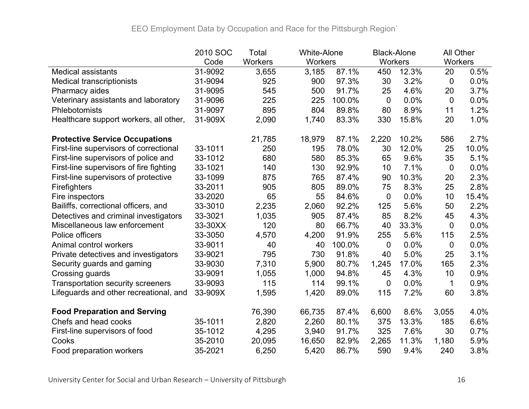|                                          | 2010 SOC | Total          | <b>White-Alone</b> |        | <b>Black-Alone</b> |       | All Other      |       |
|------------------------------------------|----------|----------------|--------------------|--------|--------------------|-------|----------------|-------|
|                                          | Code     | <b>Workers</b> | Workers            |        | Workers            |       | Workers        |       |
| <b>Medical assistants</b>                | 31-9092  | 3,655          | 3,185              | 87.1%  | 450                | 12.3% | 20             | 0.5%  |
| <b>Medical transcriptionists</b>         | 31-9094  | 925            | 900                | 97.3%  | 30                 | 3.2%  | $\overline{0}$ | 0.0%  |
| Pharmacy aides                           | 31-9095  | 545            | 500                | 91.7%  | 25                 | 4.6%  | 20             | 3.7%  |
| Veterinary assistants and laboratory     | 31-9096  | 225            | 225                | 100.0% | $\overline{0}$     | 0.0%  | 0              | 0.0%  |
| Phlebotomists                            | 31-9097  | 895            | 804                | 89.8%  | 80                 | 8.9%  | 11             | 1.2%  |
| Healthcare support workers, all other,   | 31-909X  | 2,090          | 1,740              | 83.3%  | 330                | 15.8% | 20             | 1.0%  |
| <b>Protective Service Occupations</b>    |          | 21,785         | 18,979             | 87.1%  | 2,220              | 10.2% | 586            | 2.7%  |
| First-line supervisors of correctional   | 33-1011  | 250            | 195                | 78.0%  | 30                 | 12.0% | 25             | 10.0% |
| First-line supervisors of police and     | 33-1012  | 680            | 580                | 85.3%  | 65                 | 9.6%  | 35             | 5.1%  |
| First-line supervisors of fire fighting  | 33-1021  | 140            | 130                | 92.9%  | 10                 | 7.1%  | $\mathbf 0$    | 0.0%  |
| First-line supervisors of protective     | 33-1099  | 875            | 765                | 87.4%  | 90                 | 10.3% | 20             | 2.3%  |
| <b>Firefighters</b>                      | 33-2011  | 905            | 805                | 89.0%  | 75                 | 8.3%  | 25             | 2.8%  |
| Fire inspectors                          | 33-2020  | 65             | 55                 | 84.6%  | $\mathbf 0$        | 0.0%  | 10             | 15.4% |
| Bailiffs, correctional officers, and     | 33-3010  | 2,235          | 2,060              | 92.2%  | 125                | 5.6%  | 50             | 2.2%  |
| Detectives and criminal investigators    | 33-3021  | 1,035          | 905                | 87.4%  | 85                 | 8.2%  | 45             | 4.3%  |
| Miscellaneous law enforcement            | 33-30XX  | 120            | 80                 | 66.7%  | 40                 | 33.3% | $\mathbf 0$    | 0.0%  |
| Police officers                          | 33-3050  | 4,570          | 4,200              | 91.9%  | 255                | 5.6%  | 115            | 2.5%  |
| Animal control workers                   | 33-9011  | 40             | 40                 | 100.0% | $\mathbf 0$        | 0.0%  | $\mathbf 0$    | 0.0%  |
| Private detectives and investigators     | 33-9021  | 795            | 730                | 91.8%  | 40                 | 5.0%  | 25             | 3.1%  |
| Security guards and gaming               | 33-9030  | 7,310          | 5,900              | 80.7%  | 1,245              | 17.0% | 165            | 2.3%  |
| Crossing guards                          | 33-9091  | 1,055          | 1,000              | 94.8%  | 45                 | 4.3%  | 10             | 0.9%  |
| <b>Transportation security screeners</b> | 33-9093  | 115            | 114                | 99.1%  | $\mathbf 0$        | 0.0%  | 1              | 0.9%  |
| Lifeguards and other recreational, and   | 33-909X  | 1,595          | 1,420              | 89.0%  | 115                | 7.2%  | 60             | 3.8%  |
| <b>Food Preparation and Serving</b>      |          | 76,390         | 66,735             | 87.4%  | 6,600              | 8.6%  | 3,055          | 4.0%  |
| Chefs and head cooks                     | 35-1011  | 2,820          | 2,260              | 80.1%  | 375                | 13.3% | 185            | 6.6%  |
| First-line supervisors of food           | 35-1012  | 4,295          | 3,940              | 91.7%  | 325                | 7.6%  | 30             | 0.7%  |
| Cooks                                    | 35-2010  | 20,095         | 16,650             | 82.9%  | 2,265              | 11.3% | 1,180          | 5.9%  |
| Food preparation workers                 | 35-2021  | 6,250          | 5,420              | 86.7%  | 590                | 9.4%  | 240            | 3.8%  |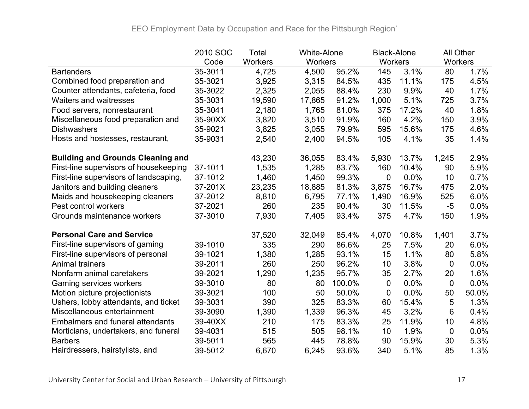|                                          | 2010 SOC | Total          | <b>White-Alone</b> |        | <b>Black-Alone</b> |       | All Other      |       |
|------------------------------------------|----------|----------------|--------------------|--------|--------------------|-------|----------------|-------|
|                                          | Code     | <b>Workers</b> | Workers            |        | Workers            |       | Workers        |       |
| <b>Bartenders</b>                        | 35-3011  | 4,725          | 4,500              | 95.2%  | 145                | 3.1%  | 80             | 1.7%  |
| Combined food preparation and            | 35-3021  | 3,925          | 3,315              | 84.5%  | 435                | 11.1% | 175            | 4.5%  |
| Counter attendants, cafeteria, food      | 35-3022  | 2,325          | 2,055              | 88.4%  | 230                | 9.9%  | 40             | 1.7%  |
| <b>Waiters and waitresses</b>            | 35-3031  | 19,590         | 17,865             | 91.2%  | 1,000              | 5.1%  | 725            | 3.7%  |
| Food servers, nonrestaurant              | 35-3041  | 2,180          | 1,765              | 81.0%  | 375                | 17.2% | 40             | 1.8%  |
| Miscellaneous food preparation and       | 35-90XX  | 3,820          | 3,510              | 91.9%  | 160                | 4.2%  | 150            | 3.9%  |
| <b>Dishwashers</b>                       | 35-9021  | 3,825          | 3,055              | 79.9%  | 595                | 15.6% | 175            | 4.6%  |
| Hosts and hostesses, restaurant,         | 35-9031  | 2,540          | 2,400              | 94.5%  | 105                | 4.1%  | 35             | 1.4%  |
| <b>Building and Grounds Cleaning and</b> |          | 43,230         | 36,055             | 83.4%  | 5,930              | 13.7% | 1,245          | 2.9%  |
| First-line supervisors of housekeeping   | 37-1011  | 1,535          | 1,285              | 83.7%  | 160                | 10.4% | 90             | 5.9%  |
| First-line supervisors of landscaping,   | 37-1012  | 1,460          | 1,450              | 99.3%  | 0                  | 0.0%  | 10             | 0.7%  |
| Janitors and building cleaners           | 37-201X  | 23,235         | 18,885             | 81.3%  | 3,875              | 16.7% | 475            | 2.0%  |
| Maids and housekeeping cleaners          | 37-2012  | 8,810          | 6,795              | 77.1%  | 1,490              | 16.9% | 525            | 6.0%  |
| Pest control workers                     | 37-2021  | 260            | 235                | 90.4%  | 30                 | 11.5% | $-5$           | 0.0%  |
| Grounds maintenance workers              | 37-3010  | 7,930          | 7,405              | 93.4%  | 375                | 4.7%  | 150            | 1.9%  |
| <b>Personal Care and Service</b>         |          | 37,520         | 32,049             | 85.4%  | 4,070              | 10.8% | 1,401          | 3.7%  |
| First-line supervisors of gaming         | 39-1010  | 335            | 290                | 86.6%  | 25                 | 7.5%  | 20             | 6.0%  |
| First-line supervisors of personal       | 39-1021  | 1,380          | 1,285              | 93.1%  | 15                 | 1.1%  | 80             | 5.8%  |
| <b>Animal trainers</b>                   | 39-2011  | 260            | 250                | 96.2%  | 10                 | 3.8%  | $\mathbf 0$    | 0.0%  |
| Nonfarm animal caretakers                | 39-2021  | 1,290          | 1,235              | 95.7%  | 35                 | 2.7%  | 20             | 1.6%  |
| <b>Gaming services workers</b>           | 39-3010  | 80             | 80                 | 100.0% | $\overline{0}$     | 0.0%  | $\overline{0}$ | 0.0%  |
| Motion picture projectionists            | 39-3021  | 100            | 50                 | 50.0%  | $\mathbf 0$        | 0.0%  | 50             | 50.0% |
| Ushers, lobby attendants, and ticket     | 39-3031  | 390            | 325                | 83.3%  | 60                 | 15.4% | 5              | 1.3%  |
| Miscellaneous entertainment              | 39-3090  | 1,390          | 1,339              | 96.3%  | 45                 | 3.2%  | 6              | 0.4%  |
| <b>Embalmers and funeral attendants</b>  | 39-40XX  | 210            | 175                | 83.3%  | 25                 | 11.9% | 10             | 4.8%  |
| Morticians, undertakers, and funeral     | 39-4031  | 515            | 505                | 98.1%  | 10                 | 1.9%  | $\mathbf 0$    | 0.0%  |
| <b>Barbers</b>                           | 39-5011  | 565            | 445                | 78.8%  | 90                 | 15.9% | 30             | 5.3%  |
| Hairdressers, hairstylists, and          | 39-5012  | 6,670          | 6,245              | 93.6%  | 340                | 5.1%  | 85             | 1.3%  |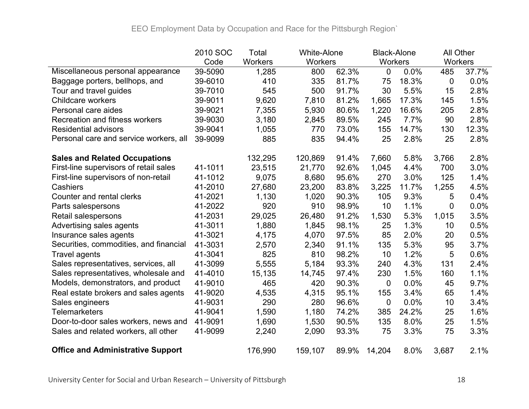|                                          | 2010 SOC | Total   | <b>White-Alone</b> |       | <b>Black-Alone</b> |       | <b>All Other</b> |       |
|------------------------------------------|----------|---------|--------------------|-------|--------------------|-------|------------------|-------|
|                                          | Code     | Workers | Workers            |       | Workers            |       | Workers          |       |
| Miscellaneous personal appearance        | 39-5090  | 1,285   | 800                | 62.3% | 0                  | 0.0%  | 485              | 37.7% |
| Baggage porters, bellhops, and           | 39-6010  | 410     | 335                | 81.7% | 75                 | 18.3% | $\overline{0}$   | 0.0%  |
| Tour and travel guides                   | 39-7010  | 545     | 500                | 91.7% | 30                 | 5.5%  | 15               | 2.8%  |
| <b>Childcare workers</b>                 | 39-9011  | 9,620   | 7,810              | 81.2% | 1,665              | 17.3% | 145              | 1.5%  |
| Personal care aides                      | 39-9021  | 7,355   | 5,930              | 80.6% | 1,220              | 16.6% | 205              | 2.8%  |
| <b>Recreation and fitness workers</b>    | 39-9030  | 3,180   | 2,845              | 89.5% | 245                | 7.7%  | 90               | 2.8%  |
| <b>Residential advisors</b>              | 39-9041  | 1,055   | 770                | 73.0% | 155                | 14.7% | 130              | 12.3% |
| Personal care and service workers, all   | 39-9099  | 885     | 835                | 94.4% | 25                 | 2.8%  | 25               | 2.8%  |
| <b>Sales and Related Occupations</b>     |          | 132,295 | 120,869            | 91.4% | 7,660              | 5.8%  | 3,766            | 2.8%  |
| First-line supervisors of retail sales   | 41-1011  | 23,515  | 21,770             | 92.6% | 1,045              | 4.4%  | 700              | 3.0%  |
| First-line supervisors of non-retail     | 41-1012  | 9,075   | 8,680              | 95.6% | 270                | 3.0%  | 125              | 1.4%  |
| Cashiers                                 | 41-2010  | 27,680  | 23,200             | 83.8% | 3,225              | 11.7% | 1,255            | 4.5%  |
| Counter and rental clerks                | 41-2021  | 1,130   | 1,020              | 90.3% | 105                | 9.3%  | 5                | 0.4%  |
| Parts salespersons                       | 41-2022  | 920     | 910                | 98.9% | 10                 | 1.1%  | 0                | 0.0%  |
| Retail salespersons                      | 41-2031  | 29,025  | 26,480             | 91.2% | 1,530              | 5.3%  | 1,015            | 3.5%  |
| Advertising sales agents                 | 41-3011  | 1,880   | 1,845              | 98.1% | 25                 | 1.3%  | 10               | 0.5%  |
| Insurance sales agents                   | 41-3021  | 4,175   | 4,070              | 97.5% | 85                 | 2.0%  | 20               | 0.5%  |
| Securities, commodities, and financial   | 41-3031  | 2,570   | 2,340              | 91.1% | 135                | 5.3%  | 95               | 3.7%  |
| <b>Travel agents</b>                     | 41-3041  | 825     | 810                | 98.2% | 10                 | 1.2%  | 5                | 0.6%  |
| Sales representatives, services, all     | 41-3099  | 5,555   | 5,184              | 93.3% | 240                | 4.3%  | 131              | 2.4%  |
| Sales representatives, wholesale and     | 41-4010  | 15,135  | 14,745             | 97.4% | 230                | 1.5%  | 160              | 1.1%  |
| Models, demonstrators, and product       | 41-9010  | 465     | 420                | 90.3% | 0                  | 0.0%  | 45               | 9.7%  |
| Real estate brokers and sales agents     | 41-9020  | 4,535   | 4,315              | 95.1% | 155                | 3.4%  | 65               | 1.4%  |
| Sales engineers                          | 41-9031  | 290     | 280                | 96.6% | 0                  | 0.0%  | 10               | 3.4%  |
| <b>Telemarketers</b>                     | 41-9041  | 1,590   | 1,180              | 74.2% | 385                | 24.2% | 25               | 1.6%  |
| Door-to-door sales workers, news and     | 41-9091  | 1,690   | 1,530              | 90.5% | 135                | 8.0%  | 25               | 1.5%  |
| Sales and related workers, all other     | 41-9099  | 2,240   | 2,090              | 93.3% | 75                 | 3.3%  | 75               | 3.3%  |
| <b>Office and Administrative Support</b> |          | 176,990 | 159,107            | 89.9% | 14,204             | 8.0%  | 3,687            | 2.1%  |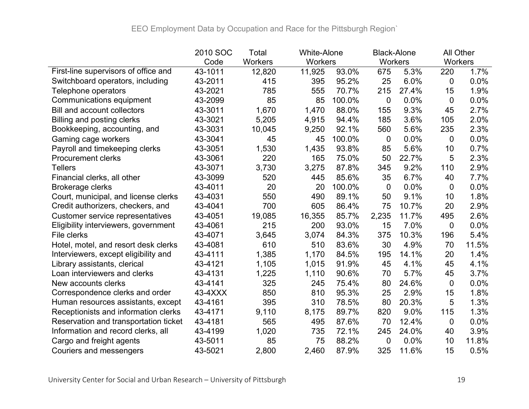|                                       | 2010 SOC | Total          | <b>White-Alone</b> |        | <b>Black-Alone</b> |       | All Other      |       |
|---------------------------------------|----------|----------------|--------------------|--------|--------------------|-------|----------------|-------|
|                                       | Code     | <b>Workers</b> | Workers            |        | Workers            |       | Workers        |       |
| First-line supervisors of office and  | 43-1011  | 12,820         | 11,925             | 93.0%  | 675                | 5.3%  | 220            | 1.7%  |
| Switchboard operators, including      | 43-2011  | 415            | 395                | 95.2%  | 25                 | 6.0%  | $\overline{0}$ | 0.0%  |
| Telephone operators                   | 43-2021  | 785            | 555                | 70.7%  | 215                | 27.4% | 15             | 1.9%  |
| Communications equipment              | 43-2099  | 85             | 85                 | 100.0% | 0                  | 0.0%  | $\overline{0}$ | 0.0%  |
| <b>Bill and account collectors</b>    | 43-3011  | 1,670          | 1,470              | 88.0%  | 155                | 9.3%  | 45             | 2.7%  |
| Billing and posting clerks            | 43-3021  | 5,205          | 4,915              | 94.4%  | 185                | 3.6%  | 105            | 2.0%  |
| Bookkeeping, accounting, and          | 43-3031  | 10,045         | 9,250              | 92.1%  | 560                | 5.6%  | 235            | 2.3%  |
| Gaming cage workers                   | 43-3041  | 45             | 45                 | 100.0% | 0                  | 0.0%  | 0              | 0.0%  |
| Payroll and timekeeping clerks        | 43-3051  | 1,530          | 1,435              | 93.8%  | 85                 | 5.6%  | 10             | 0.7%  |
| <b>Procurement clerks</b>             | 43-3061  | 220            | 165                | 75.0%  | 50                 | 22.7% | 5              | 2.3%  |
| <b>Tellers</b>                        | 43-3071  | 3,730          | 3,275              | 87.8%  | 345                | 9.2%  | 110            | 2.9%  |
| Financial clerks, all other           | 43-3099  | 520            | 445                | 85.6%  | 35                 | 6.7%  | 40             | 7.7%  |
| <b>Brokerage clerks</b>               | 43-4011  | 20             | 20                 | 100.0% | 0                  | 0.0%  | 0              | 0.0%  |
| Court, municipal, and license clerks  | 43-4031  | 550            | 490                | 89.1%  | 50                 | 9.1%  | 10             | 1.8%  |
| Credit authorizers, checkers, and     | 43-4041  | 700            | 605                | 86.4%  | 75                 | 10.7% | 20             | 2.9%  |
| Customer service representatives      | 43-4051  | 19,085         | 16,355             | 85.7%  | 2,235              | 11.7% | 495            | 2.6%  |
| Eligibility interviewers, government  | 43-4061  | 215            | 200                | 93.0%  | 15                 | 7.0%  | $\mathbf 0$    | 0.0%  |
| File clerks                           | 43-4071  | 3,645          | 3,074              | 84.3%  | 375                | 10.3% | 196            | 5.4%  |
| Hotel, motel, and resort desk clerks  | 43-4081  | 610            | 510                | 83.6%  | 30                 | 4.9%  | 70             | 11.5% |
| Interviewers, except eligibility and  | 43-4111  | 1,385          | 1,170              | 84.5%  | 195                | 14.1% | 20             | 1.4%  |
| Library assistants, clerical          | 43-4121  | 1,105          | 1,015              | 91.9%  | 45                 | 4.1%  | 45             | 4.1%  |
| Loan interviewers and clerks          | 43-4131  | 1,225          | 1,110              | 90.6%  | 70                 | 5.7%  | 45             | 3.7%  |
| New accounts clerks                   | 43-4141  | 325            | 245                | 75.4%  | 80                 | 24.6% | 0              | 0.0%  |
| Correspondence clerks and order       | 43-4XXX  | 850            | 810                | 95.3%  | 25                 | 2.9%  | 15             | 1.8%  |
| Human resources assistants, except    | 43-4161  | 395            | 310                | 78.5%  | 80                 | 20.3% | 5              | 1.3%  |
| Receptionists and information clerks  | 43-4171  | 9,110          | 8,175              | 89.7%  | 820                | 9.0%  | 115            | 1.3%  |
| Reservation and transportation ticket | 43-4181  | 565            | 495                | 87.6%  | 70                 | 12.4% | $\mathbf 0$    | 0.0%  |
| Information and record clerks, all    | 43-4199  | 1,020          | 735                | 72.1%  | 245                | 24.0% | 40             | 3.9%  |
| Cargo and freight agents              | 43-5011  | 85             | 75                 | 88.2%  | 0                  | 0.0%  | 10             | 11.8% |
| Couriers and messengers               | 43-5021  | 2,800          | 2,460              | 87.9%  | 325                | 11.6% | 15             | 0.5%  |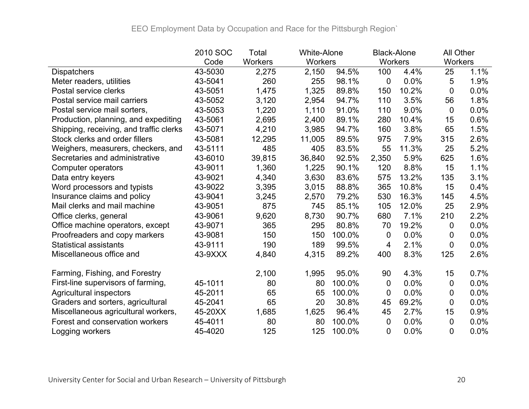|                                         | 2010 SOC | Total          | <b>White-Alone</b> |        | <b>Black-Alone</b> |       |                | All Other |  |
|-----------------------------------------|----------|----------------|--------------------|--------|--------------------|-------|----------------|-----------|--|
|                                         | Code     | <b>Workers</b> | <b>Workers</b>     |        | Workers            |       | <b>Workers</b> |           |  |
| <b>Dispatchers</b>                      | 43-5030  | 2,275          | 2,150              | 94.5%  | 100                | 4.4%  | 25             | 1.1%      |  |
| Meter readers, utilities                | 43-5041  | 260            | 255                | 98.1%  | 0                  | 0.0%  | 5              | 1.9%      |  |
| Postal service clerks                   | 43-5051  | 1,475          | 1,325              | 89.8%  | 150                | 10.2% | 0              | 0.0%      |  |
| Postal service mail carriers            | 43-5052  | 3,120          | 2,954              | 94.7%  | 110                | 3.5%  | 56             | 1.8%      |  |
| Postal service mail sorters,            | 43-5053  | 1,220          | 1,110              | 91.0%  | 110                | 9.0%  | 0              | 0.0%      |  |
| Production, planning, and expediting    | 43-5061  | 2,695          | 2,400              | 89.1%  | 280                | 10.4% | 15             | 0.6%      |  |
| Shipping, receiving, and traffic clerks | 43-5071  | 4,210          | 3,985              | 94.7%  | 160                | 3.8%  | 65             | 1.5%      |  |
| Stock clerks and order fillers          | 43-5081  | 12,295         | 11,005             | 89.5%  | 975                | 7.9%  | 315            | 2.6%      |  |
| Weighers, measurers, checkers, and      | 43-5111  | 485            | 405                | 83.5%  | 55                 | 11.3% | 25             | 5.2%      |  |
| Secretaries and administrative          | 43-6010  | 39,815         | 36,840             | 92.5%  | 2,350              | 5.9%  | 625            | 1.6%      |  |
| Computer operators                      | 43-9011  | 1,360          | 1,225              | 90.1%  | 120                | 8.8%  | 15             | 1.1%      |  |
| Data entry keyers                       | 43-9021  | 4,340          | 3,630              | 83.6%  | 575                | 13.2% | 135            | 3.1%      |  |
| Word processors and typists             | 43-9022  | 3,395          | 3,015              | 88.8%  | 365                | 10.8% | 15             | 0.4%      |  |
| Insurance claims and policy             | 43-9041  | 3,245          | 2,570              | 79.2%  | 530                | 16.3% | 145            | 4.5%      |  |
| Mail clerks and mail machine            | 43-9051  | 875            | 745                | 85.1%  | 105                | 12.0% | 25             | 2.9%      |  |
| Office clerks, general                  | 43-9061  | 9,620          | 8,730              | 90.7%  | 680                | 7.1%  | 210            | 2.2%      |  |
| Office machine operators, except        | 43-9071  | 365            | 295                | 80.8%  | 70                 | 19.2% | 0              | 0.0%      |  |
| Proofreaders and copy markers           | 43-9081  | 150            | 150                | 100.0% | 0                  | 0.0%  | 0              | 0.0%      |  |
| <b>Statistical assistants</b>           | 43-9111  | 190            | 189                | 99.5%  | 4                  | 2.1%  | 0              | 0.0%      |  |
| Miscellaneous office and                | 43-9XXX  | 4,840          | 4,315              | 89.2%  | 400                | 8.3%  | 125            | 2.6%      |  |
| Farming, Fishing, and Forestry          |          | 2,100          | 1,995              | 95.0%  | 90                 | 4.3%  | 15             | 0.7%      |  |
| First-line supervisors of farming,      | 45-1011  | 80             | 80                 | 100.0% | 0                  | 0.0%  | 0              | $0.0\%$   |  |
| <b>Agricultural inspectors</b>          | 45-2011  | 65             | 65                 | 100.0% | 0                  | 0.0%  | 0              | $0.0\%$   |  |
| Graders and sorters, agricultural       | 45-2041  | 65             | 20                 | 30.8%  | 45                 | 69.2% | 0              | 0.0%      |  |
| Miscellaneous agricultural workers,     | 45-20XX  |                |                    |        | 45                 | 2.7%  | 15             | 0.9%      |  |
|                                         |          | 1,685          | 1,625              | 96.4%  |                    |       |                |           |  |
| Forest and conservation workers         | 45-4011  | 80             | 80                 | 100.0% | 0                  | 0.0%  | 0              | 0.0%      |  |
| Logging workers                         | 45-4020  | 125            | 125                | 100.0% | 0                  | 0.0%  | 0              | 0.0%      |  |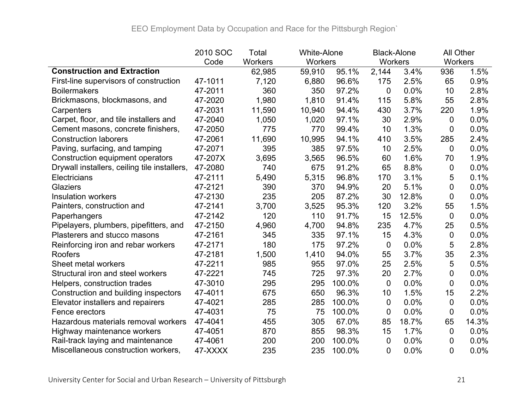|                                              | 2010 SOC | Total          | <b>White-Alone</b> |        | <b>Black-Alone</b> |       |                | All Other |  |
|----------------------------------------------|----------|----------------|--------------------|--------|--------------------|-------|----------------|-----------|--|
|                                              | Code     | <b>Workers</b> | <b>Workers</b>     |        | <b>Workers</b>     |       | Workers        |           |  |
| <b>Construction and Extraction</b>           |          | 62,985         | 59,910             | 95.1%  | 2,144              | 3.4%  | 936            | 1.5%      |  |
| First-line supervisors of construction       | 47-1011  | 7,120          | 6,880              | 96.6%  | 175                | 2.5%  | 65             | 0.9%      |  |
| <b>Boilermakers</b>                          | 47-2011  | 360            | 350                | 97.2%  | 0                  | 0.0%  | 10             | 2.8%      |  |
| Brickmasons, blockmasons, and                | 47-2020  | 1,980          | 1,810              | 91.4%  | 115                | 5.8%  | 55             | 2.8%      |  |
| Carpenters                                   | 47-2031  | 11,590         | 10,940             | 94.4%  | 430                | 3.7%  | 220            | 1.9%      |  |
| Carpet, floor, and tile installers and       | 47-2040  | 1,050          | 1,020              | 97.1%  | 30                 | 2.9%  | 0              | 0.0%      |  |
| Cement masons, concrete finishers,           | 47-2050  | 775            | 770                | 99.4%  | 10                 | 1.3%  | 0              | 0.0%      |  |
| <b>Construction laborers</b>                 | 47-2061  | 11,690         | 10,995             | 94.1%  | 410                | 3.5%  | 285            | 2.4%      |  |
| Paving, surfacing, and tamping               | 47-2071  | 395            | 385                | 97.5%  | 10                 | 2.5%  | 0              | 0.0%      |  |
| Construction equipment operators             | 47-207X  | 3,695          | 3,565              | 96.5%  | 60                 | 1.6%  | 70             | 1.9%      |  |
| Drywall installers, ceiling tile installers, | 47-2080  | 740            | 675                | 91.2%  | 65                 | 8.8%  | 0              | 0.0%      |  |
| Electricians                                 | 47-2111  | 5,490          | 5,315              | 96.8%  | 170                | 3.1%  | 5              | 0.1%      |  |
| Glaziers                                     | 47-2121  | 390            | 370                | 94.9%  | 20                 | 5.1%  | 0              | 0.0%      |  |
| <b>Insulation workers</b>                    | 47-2130  | 235            | 205                | 87.2%  | 30                 | 12.8% | 0              | 0.0%      |  |
| Painters, construction and                   | 47-2141  | 3,700          | 3,525              | 95.3%  | 120                | 3.2%  | 55             | 1.5%      |  |
| Paperhangers                                 | 47-2142  | 120            | 110                | 91.7%  | 15                 | 12.5% | $\overline{0}$ | 0.0%      |  |
| Pipelayers, plumbers, pipefitters, and       | 47-2150  | 4,960          | 4,700              | 94.8%  | 235                | 4.7%  | 25             | 0.5%      |  |
| Plasterers and stucco masons                 | 47-2161  | 345            | 335                | 97.1%  | 15                 | 4.3%  | 0              | 0.0%      |  |
| Reinforcing iron and rebar workers           | 47-2171  | 180            | 175                | 97.2%  | $\boldsymbol{0}$   | 0.0%  | 5              | 2.8%      |  |
| Roofers                                      | 47-2181  | 1,500          | 1,410              | 94.0%  | 55                 | 3.7%  | 35             | 2.3%      |  |
| Sheet metal workers                          | 47-2211  | 985            | 955                | 97.0%  | 25                 | 2.5%  | 5              | 0.5%      |  |
| Structural iron and steel workers            | 47-2221  | 745            | 725                | 97.3%  | 20                 | 2.7%  | 0              | 0.0%      |  |
| Helpers, construction trades                 | 47-3010  | 295            | 295                | 100.0% | $\mathbf 0$        | 0.0%  | 0              | 0.0%      |  |
| Construction and building inspectors         | 47-4011  | 675            | 650                | 96.3%  | 10                 | 1.5%  | 15             | 2.2%      |  |
| Elevator installers and repairers            | 47-4021  | 285            | 285                | 100.0% | 0                  | 0.0%  | 0              | 0.0%      |  |
| Fence erectors                               | 47-4031  | 75             | 75                 | 100.0% | 0                  | 0.0%  | 0              | 0.0%      |  |
| Hazardous materials removal workers          | 47-4041  | 455            | 305                | 67.0%  | 85                 | 18.7% | 65             | 14.3%     |  |
| Highway maintenance workers                  | 47-4051  | 870            | 855                | 98.3%  | 15                 | 1.7%  | 0              | 0.0%      |  |
| Rail-track laying and maintenance            | 47-4061  | 200            | 200                | 100.0% | 0                  | 0.0%  | 0              | 0.0%      |  |
| Miscellaneous construction workers,          | 47-XXXX  | 235            | 235                | 100.0% | $\overline{0}$     | 0.0%  | 0              | 0.0%      |  |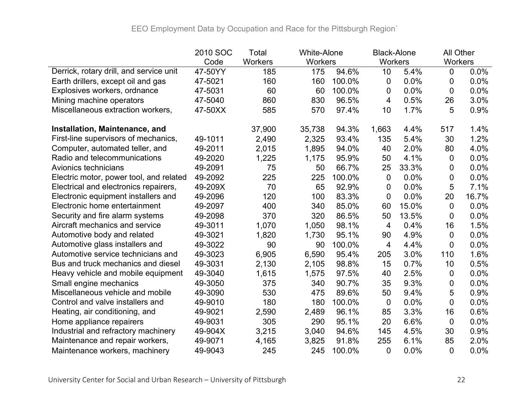|                                         | 2010 SOC | Total          | <b>White-Alone</b> |        | <b>Black-Alone</b> |       | All Other      |       |
|-----------------------------------------|----------|----------------|--------------------|--------|--------------------|-------|----------------|-------|
|                                         | Code     | <b>Workers</b> | <b>Workers</b>     |        | <b>Workers</b>     |       | Workers        |       |
| Derrick, rotary drill, and service unit | 47-50YY  | 185            | 175                | 94.6%  | 10                 | 5.4%  | $\overline{0}$ | 0.0%  |
| Earth drillers, except oil and gas      | 47-5021  | 160            | 160                | 100.0% | 0                  | 0.0%  | 0              | 0.0%  |
| Explosives workers, ordnance            | 47-5031  | 60             | 60                 | 100.0% | 0                  | 0.0%  | 0              | 0.0%  |
| Mining machine operators                | 47-5040  | 860            | 830                | 96.5%  | 4                  | 0.5%  | 26             | 3.0%  |
| Miscellaneous extraction workers,       | 47-50XX  | 585            | 570                | 97.4%  | 10                 | 1.7%  | 5              | 0.9%  |
| Installation, Maintenance, and          |          | 37,900         | 35,738             | 94.3%  | 1,663              | 4.4%  | 517            | 1.4%  |
| First-line supervisors of mechanics,    | 49-1011  | 2,490          | 2,325              | 93.4%  | 135                | 5.4%  | 30             | 1.2%  |
| Computer, automated teller, and         | 49-2011  | 2,015          | 1,895              | 94.0%  | 40                 | 2.0%  | 80             | 4.0%  |
| Radio and telecommunications            | 49-2020  | 1,225          | 1,175              | 95.9%  | 50                 | 4.1%  | 0              | 0.0%  |
| Avionics technicians                    | 49-2091  | 75             | 50                 | 66.7%  | 25                 | 33.3% | 0              | 0.0%  |
| Electric motor, power tool, and related | 49-2092  | 225            | 225                | 100.0% | 0                  | 0.0%  | 0              | 0.0%  |
| Electrical and electronics repairers,   | 49-209X  | 70             | 65                 | 92.9%  | 0                  | 0.0%  | 5              | 7.1%  |
| Electronic equipment installers and     | 49-2096  | 120            | 100                | 83.3%  | 0                  | 0.0%  | 20             | 16.7% |
| Electronic home entertainment           | 49-2097  | 400            | 340                | 85.0%  | 60                 | 15.0% | 0              | 0.0%  |
| Security and fire alarm systems         | 49-2098  | 370            | 320                | 86.5%  | 50                 | 13.5% | 0              | 0.0%  |
| Aircraft mechanics and service          | 49-3011  | 1,070          | 1,050              | 98.1%  | 4                  | 0.4%  | 16             | 1.5%  |
| Automotive body and related             | 49-3021  | 1,820          | 1,730              | 95.1%  | 90                 | 4.9%  | 0              | 0.0%  |
| Automotive glass installers and         | 49-3022  | 90             | 90                 | 100.0% | 4                  | 4.4%  | 0              | 0.0%  |
| Automotive service technicians and      | 49-3023  | 6,905          | 6,590              | 95.4%  | 205                | 3.0%  | 110            | 1.6%  |
| Bus and truck mechanics and diesel      | 49-3031  | 2,130          | 2,105              | 98.8%  | 15                 | 0.7%  | 10             | 0.5%  |
| Heavy vehicle and mobile equipment      | 49-3040  | 1,615          | 1,575              | 97.5%  | 40                 | 2.5%  | 0              | 0.0%  |
| Small engine mechanics                  | 49-3050  | 375            | 340                | 90.7%  | 35                 | 9.3%  | 0              | 0.0%  |
| Miscellaneous vehicle and mobile        | 49-3090  | 530            | 475                | 89.6%  | 50                 | 9.4%  | 5              | 0.9%  |
| Control and valve installers and        | 49-9010  | 180            | 180                | 100.0% | $\mathbf 0$        | 0.0%  | 0              | 0.0%  |
| Heating, air conditioning, and          | 49-9021  | 2,590          | 2,489              | 96.1%  | 85                 | 3.3%  | 16             | 0.6%  |
| Home appliance repairers                | 49-9031  | 305            | 290                | 95.1%  | 20                 | 6.6%  | 0              | 0.0%  |
| Industrial and refractory machinery     | 49-904X  | 3,215          | 3,040              | 94.6%  | 145                | 4.5%  | 30             | 0.9%  |
| Maintenance and repair workers,         | 49-9071  | 4,165          | 3,825              | 91.8%  | 255                | 6.1%  | 85             | 2.0%  |
| Maintenance workers, machinery          | 49-9043  | 245            | 245                | 100.0% | 0                  | 0.0%  | 0              | 0.0%  |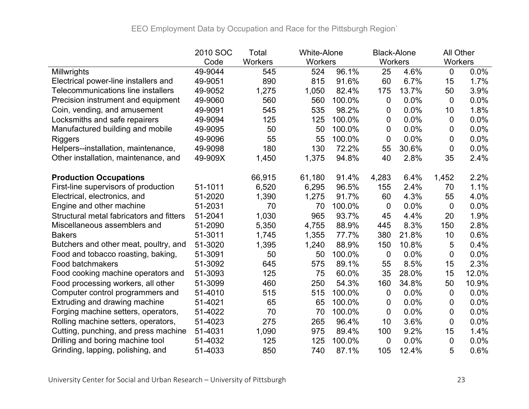|                                           | 2010 SOC | Total   | <b>White-Alone</b> |        | <b>Black-Alone</b> |       | All Other      |       |
|-------------------------------------------|----------|---------|--------------------|--------|--------------------|-------|----------------|-------|
|                                           | Code     | Workers | Workers            |        | Workers            |       | <b>Workers</b> |       |
| Millwrights                               | 49-9044  | 545     | 524                | 96.1%  | 25                 | 4.6%  | $\overline{0}$ | 0.0%  |
| Electrical power-line installers and      | 49-9051  | 890     | 815                | 91.6%  | 60                 | 6.7%  | 15             | 1.7%  |
| <b>Telecommunications line installers</b> | 49-9052  | 1,275   | 1,050              | 82.4%  | 175                | 13.7% | 50             | 3.9%  |
| Precision instrument and equipment        | 49-9060  | 560     | 560                | 100.0% | 0                  | 0.0%  | $\overline{0}$ | 0.0%  |
| Coin, vending, and amusement              | 49-9091  | 545     | 535                | 98.2%  | 0                  | 0.0%  | 10             | 1.8%  |
| Locksmiths and safe repairers             | 49-9094  | 125     | 125                | 100.0% | 0                  | 0.0%  | $\overline{0}$ | 0.0%  |
| Manufactured building and mobile          | 49-9095  | 50      | 50                 | 100.0% | 0                  | 0.0%  | 0              | 0.0%  |
| <b>Riggers</b>                            | 49-9096  | 55      | 55                 | 100.0% | 0                  | 0.0%  | 0              | 0.0%  |
| Helpers--installation, maintenance,       | 49-9098  | 180     | 130                | 72.2%  | 55                 | 30.6% | 0              | 0.0%  |
| Other installation, maintenance, and      | 49-909X  | 1,450   | 1,375              | 94.8%  | 40                 | 2.8%  | 35             | 2.4%  |
| <b>Production Occupations</b>             |          | 66,915  | 61,180             | 91.4%  | 4,283              | 6.4%  | 1,452          | 2.2%  |
| First-line supervisors of production      | 51-1011  | 6,520   | 6,295              | 96.5%  | 155                | 2.4%  | 70             | 1.1%  |
| Electrical, electronics, and              | 51-2020  | 1,390   | 1,275              | 91.7%  | 60                 | 4.3%  | 55             | 4.0%  |
| Engine and other machine                  | 51-2031  | 70      | 70                 | 100.0% | 0                  | 0.0%  | $\overline{0}$ | 0.0%  |
| Structural metal fabricators and fitters  | 51-2041  | 1,030   | 965                | 93.7%  | 45                 | 4.4%  | 20             | 1.9%  |
| Miscellaneous assemblers and              | 51-2090  | 5,350   | 4,755              | 88.9%  | 445                | 8.3%  | 150            | 2.8%  |
| <b>Bakers</b>                             | 51-3011  | 1,745   | 1,355              | 77.7%  | 380                | 21.8% | 10             | 0.6%  |
| Butchers and other meat, poultry, and     | 51-3020  | 1,395   | 1,240              | 88.9%  | 150                | 10.8% | 5              | 0.4%  |
| Food and tobacco roasting, baking,        | 51-3091  | 50      | 50                 | 100.0% | 0                  | 0.0%  | 0              | 0.0%  |
| Food batchmakers                          | 51-3092  | 645     | 575                | 89.1%  | 55                 | 8.5%  | 15             | 2.3%  |
| Food cooking machine operators and        | 51-3093  | 125     | 75                 | 60.0%  | 35                 | 28.0% | 15             | 12.0% |
| Food processing workers, all other        | 51-3099  | 460     | 250                | 54.3%  | 160                | 34.8% | 50             | 10.9% |
| Computer control programmers and          | 51-4010  | 515     | 515                | 100.0% | 0                  | 0.0%  | 0              | 0.0%  |
| Extruding and drawing machine             | 51-4021  | 65      | 65                 | 100.0% | 0                  | 0.0%  | 0              | 0.0%  |
| Forging machine setters, operators,       | 51-4022  | 70      | 70                 | 100.0% | 0                  | 0.0%  | 0              | 0.0%  |
| Rolling machine setters, operators,       | 51-4023  | 275     | 265                | 96.4%  | 10                 | 3.6%  | $\overline{0}$ | 0.0%  |
| Cutting, punching, and press machine      | 51-4031  | 1,090   | 975                | 89.4%  | 100                | 9.2%  | 15             | 1.4%  |
| Drilling and boring machine tool          | 51-4032  | 125     | 125                | 100.0% | 0                  | 0.0%  | $\overline{0}$ | 0.0%  |
| Grinding, lapping, polishing, and         | 51-4033  | 850     | 740                | 87.1%  | 105                | 12.4% | 5              | 0.6%  |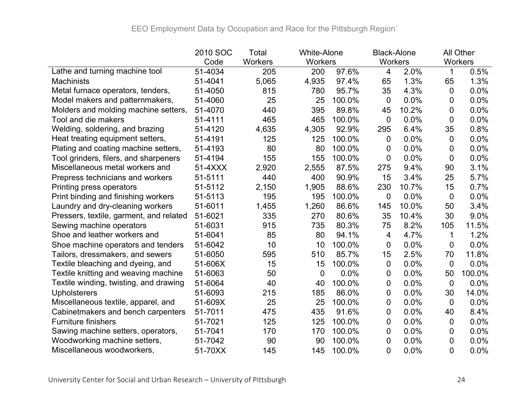|                                         | 2010 SOC | Total          | <b>White-Alone</b> |        | <b>Black-Alone</b> |       |                | All Other |
|-----------------------------------------|----------|----------------|--------------------|--------|--------------------|-------|----------------|-----------|
|                                         | Code     | <b>Workers</b> | Workers            |        | Workers            |       |                | Workers   |
| Lathe and turning machine tool          | 51-4034  | 205            | 200                | 97.6%  | 4                  | 2.0%  |                | 0.5%      |
| <b>Machinists</b>                       | 51-4041  | 5,065          | 4,935              | 97.4%  | 65                 | 1.3%  | 65             | 1.3%      |
| Metal furnace operators, tenders,       | 51-4050  | 815            | 780                | 95.7%  | 35                 | 4.3%  | 0              | 0.0%      |
| Model makers and patternmakers,         | 51-4060  | 25             | 25                 | 100.0% | $\mathbf 0$        | 0.0%  | 0              | 0.0%      |
| Molders and molding machine setters,    | 51-4070  | 440            | 395                | 89.8%  | 45                 | 10.2% | 0              | 0.0%      |
| Tool and die makers                     | 51-4111  | 465            | 465                | 100.0% | $\overline{0}$     | 0.0%  | $\overline{0}$ | 0.0%      |
| Welding, soldering, and brazing         | 51-4120  | 4,635          | 4,305              | 92.9%  | 295                | 6.4%  | 35             | 0.8%      |
| Heat treating equipment setters,        | 51-4191  | 125            | 125                | 100.0% | 0                  | 0.0%  | 0              | 0.0%      |
| Plating and coating machine setters,    | 51-4193  | 80             | 80                 | 100.0% | 0                  | 0.0%  | 0              | 0.0%      |
| Tool grinders, filers, and sharpeners   | 51-4194  | 155            | 155                | 100.0% | $\mathbf 0$        | 0.0%  | 0              | 0.0%      |
| Miscellaneous metal workers and         | 51-4XXX  | 2,920          | 2,555              | 87.5%  | 275                | 9.4%  | 90             | 3.1%      |
| Prepress technicians and workers        | 51-5111  | 440            | 400                | 90.9%  | 15                 | 3.4%  | 25             | 5.7%      |
| Printing press operators                | 51-5112  | 2,150          | 1,905              | 88.6%  | 230                | 10.7% | 15             | 0.7%      |
| Print binding and finishing workers     | 51-5113  | 195            | 195                | 100.0% | $\mathbf 0$        | 0.0%  | $\mathbf 0$    | 0.0%      |
| Laundry and dry-cleaning workers        | 51-6011  | 1,455          | 1,260              | 86.6%  | 145                | 10.0% | 50             | 3.4%      |
| Pressers, textile, garment, and related | 51-6021  | 335            | 270                | 80.6%  | 35                 | 10.4% | 30             | 9.0%      |
| Sewing machine operators                | 51-6031  | 915            | 735                | 80.3%  | 75                 | 8.2%  | 105            | 11.5%     |
| Shoe and leather workers and            | 51-6041  | 85             | 80                 | 94.1%  | 4                  | 4.7%  | 1              | 1.2%      |
| Shoe machine operators and tenders      | 51-6042  | 10             | 10                 | 100.0% | $\boldsymbol{0}$   | 0.0%  | 0              | 0.0%      |
| Tailors, dressmakers, and sewers        | 51-6050  | 595            | 510                | 85.7%  | 15                 | 2.5%  | 70             | 11.8%     |
| Textile bleaching and dyeing, and       | 51-606X  | 15             | 15                 | 100.0% | 0                  | 0.0%  | 0              | 0.0%      |
| Textile knitting and weaving machine    | 51-6063  | 50             | 0                  | 0.0%   | $\mathbf 0$        | 0.0%  | 50             | 100.0%    |
| Textile winding, twisting, and drawing  | 51-6064  | 40             | 40                 | 100.0% | $\mathbf 0$        | 0.0%  | 0              | 0.0%      |
| <b>Upholsterers</b>                     | 51-6093  | 215            | 185                | 86.0%  | 0                  | 0.0%  | 30             | 14.0%     |
| Miscellaneous textile, apparel, and     | 51-609X  | 25             | 25                 | 100.0% | 0                  | 0.0%  | 0              | 0.0%      |
| Cabinetmakers and bench carpenters      | 51-7011  | 475            | 435                | 91.6%  | $\mathbf 0$        | 0.0%  | 40             | 8.4%      |
| <b>Furniture finishers</b>              | 51-7021  | 125            | 125                | 100.0% | 0                  | 0.0%  | $\overline{0}$ | 0.0%      |
| Sawing machine setters, operators,      | 51-7041  | 170            | 170                | 100.0% | 0                  | 0.0%  | 0              | 0.0%      |
| Woodworking machine setters,            | 51-7042  | 90             | 90                 | 100.0% | 0                  | 0.0%  | 0              | 0.0%      |
| Miscellaneous woodworkers,              | 51-70XX  | 145            | 145                | 100.0% | 0                  | 0.0%  | 0              | 0.0%      |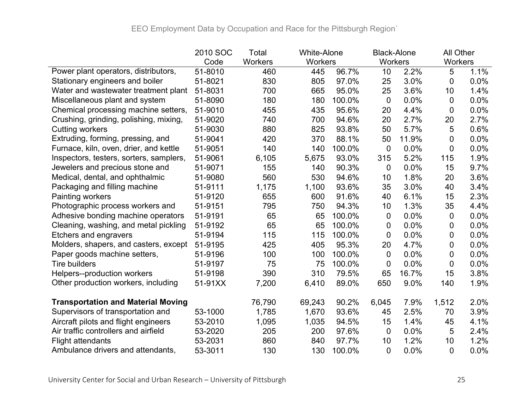|                                           | 2010 SOC | Total   | <b>White-Alone</b> |        | <b>Black-Alone</b> |       | All Other |         |
|-------------------------------------------|----------|---------|--------------------|--------|--------------------|-------|-----------|---------|
|                                           | Code     | Workers | Workers            |        | Workers            |       | Workers   |         |
| Power plant operators, distributors,      | 51-8010  | 460     | 445                | 96.7%  | 10                 | 2.2%  | 5         | 1.1%    |
| Stationary engineers and boiler           | 51-8021  | 830     | 805                | 97.0%  | 25                 | 3.0%  | 0         | $0.0\%$ |
| Water and wastewater treatment plant      | 51-8031  | 700     | 665                | 95.0%  | 25                 | 3.6%  | 10        | 1.4%    |
| Miscellaneous plant and system            | 51-8090  | 180     | 180                | 100.0% | $\overline{0}$     | 0.0%  | 0         | 0.0%    |
| Chemical processing machine setters,      | 51-9010  | 455     | 435                | 95.6%  | 20                 | 4.4%  | 0         | 0.0%    |
| Crushing, grinding, polishing, mixing,    | 51-9020  | 740     | 700                | 94.6%  | 20                 | 2.7%  | 20        | 2.7%    |
| <b>Cutting workers</b>                    | 51-9030  | 880     | 825                | 93.8%  | 50                 | 5.7%  | 5         | 0.6%    |
| Extruding, forming, pressing, and         | 51-9041  | 420     | 370                | 88.1%  | 50                 | 11.9% | 0         | 0.0%    |
| Furnace, kiln, oven, drier, and kettle    | 51-9051  | 140     | 140                | 100.0% | $\mathbf 0$        | 0.0%  | 0         | $0.0\%$ |
| Inspectors, testers, sorters, samplers,   | 51-9061  | 6,105   | 5,675              | 93.0%  | 315                | 5.2%  | 115       | 1.9%    |
| Jewelers and precious stone and           | 51-9071  | 155     | 140                | 90.3%  | $\mathbf 0$        | 0.0%  | 15        | 9.7%    |
| Medical, dental, and ophthalmic           | 51-9080  | 560     | 530                | 94.6%  | 10                 | 1.8%  | 20        | 3.6%    |
| Packaging and filling machine             | 51-9111  | 1,175   | 1,100              | 93.6%  | 35                 | 3.0%  | 40        | 3.4%    |
| Painting workers                          | 51-9120  | 655     | 600                | 91.6%  | 40                 | 6.1%  | 15        | 2.3%    |
| Photographic process workers and          | 51-9151  | 795     | 750                | 94.3%  | 10                 | 1.3%  | 35        | 4.4%    |
| Adhesive bonding machine operators        | 51-9191  | 65      | 65                 | 100.0% | $\mathbf 0$        | 0.0%  | 0         | 0.0%    |
| Cleaning, washing, and metal pickling     | 51-9192  | 65      | 65                 | 100.0% | 0                  | 0.0%  | 0         | $0.0\%$ |
| Etchers and engravers                     | 51-9194  | 115     | 115                | 100.0% | $\mathbf 0$        | 0.0%  | 0         | 0.0%    |
| Molders, shapers, and casters, except     | 51-9195  | 425     | 405                | 95.3%  | 20                 | 4.7%  | 0         | 0.0%    |
| Paper goods machine setters,              | 51-9196  | 100     | 100                | 100.0% | 0                  | 0.0%  | 0         | $0.0\%$ |
| <b>Tire builders</b>                      | 51-9197  | 75      | 75                 | 100.0% | $\overline{0}$     | 0.0%  | 0         | 0.0%    |
| Helpers--production workers               | 51-9198  | 390     | 310                | 79.5%  | 65                 | 16.7% | 15        | 3.8%    |
| Other production workers, including       | 51-91XX  | 7,200   | 6,410              | 89.0%  | 650                | 9.0%  | 140       | 1.9%    |
| <b>Transportation and Material Moving</b> |          | 76,790  | 69,243             | 90.2%  | 6,045              | 7.9%  | 1,512     | 2.0%    |
| Supervisors of transportation and         | 53-1000  | 1,785   | 1,670              | 93.6%  | 45                 | 2.5%  | 70        | 3.9%    |
| Aircraft pilots and flight engineers      | 53-2010  | 1,095   | 1,035              | 94.5%  | 15                 | 1.4%  | 45        | 4.1%    |
| Air traffic controllers and airfield      | 53-2020  | 205     | 200                | 97.6%  | $\overline{0}$     | 0.0%  | 5         | 2.4%    |
| <b>Flight attendants</b>                  | 53-2031  | 860     | 840                | 97.7%  | 10                 | 1.2%  | 10        | 1.2%    |
| Ambulance drivers and attendants,         | 53-3011  | 130     | 130                | 100.0% | 0                  | 0.0%  | 0         | 0.0%    |